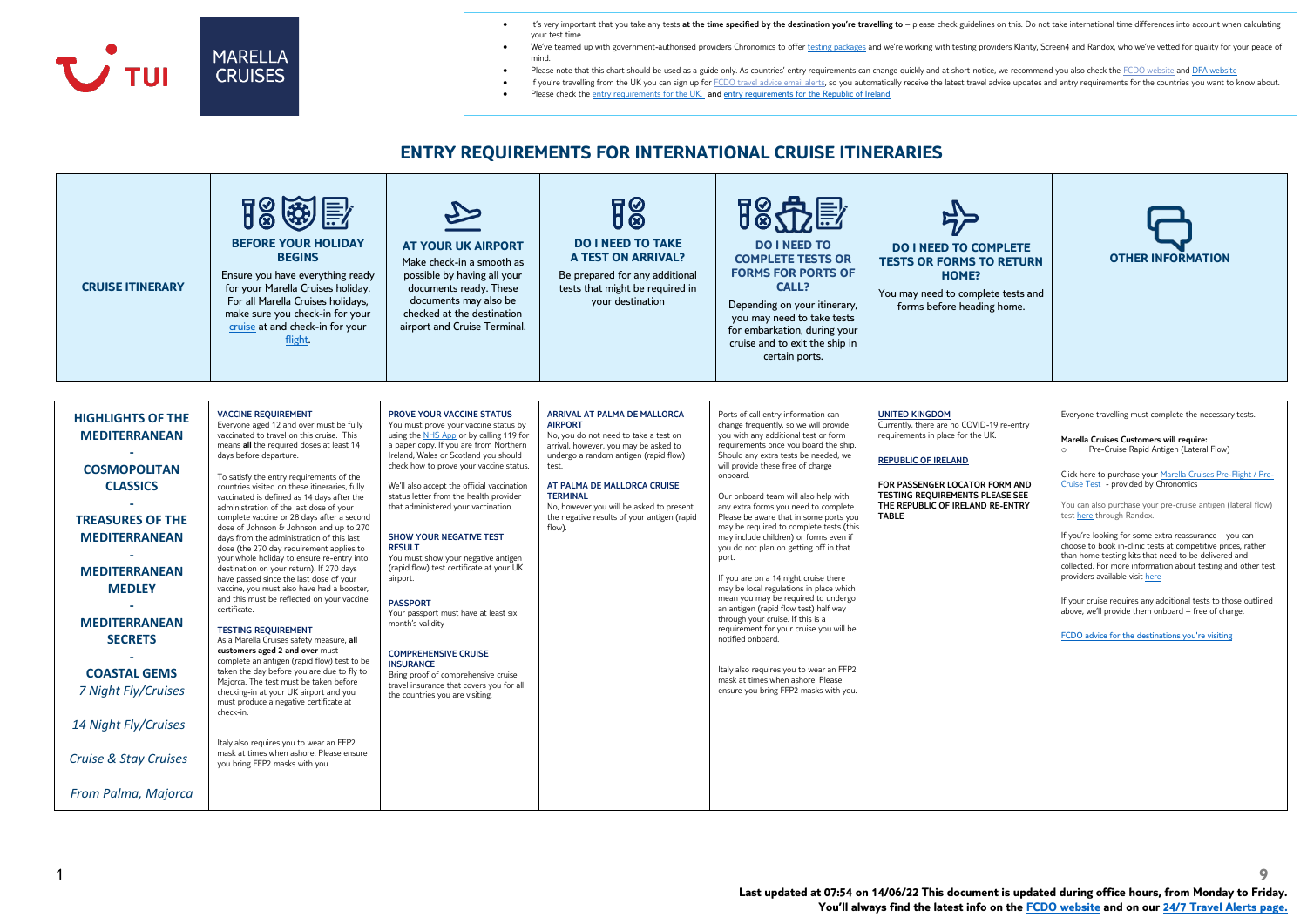

- It's very important that you take any tests at the time specified by the destination you're travelling to please check guidelines on this. Do not take international time differences into account when calculating your test time.
- .<br>We've teamed un with government-authorised providers Chronomics to offe[r testing packages](https://www.tui.co.uk/destinations/info/covid19-testing) and we're working with testing providers Klarity, Screen4 and Randox, who we've vetted for quality for your peace of mind.
- Please note that this chart should be used as a guide only. As countries' entry requirements can change quickly and at short notice, we recommend you also check th[e FCDO website](https://www.gov.uk/foreign-travel-advice) an[d DFA website](https://www.dfa.ie/)
	- If you're travelling from the UK you can sign up fo[r FCDO travel advice email alerts,](https://eur02.safelinks.protection.outlook.com/?url=https%3A%2F%2Fwww.gov.uk%2Fforeign-travel-advice&data=04%7C01%7CBen.Staff%40tui.co.uk%7Cebcfe79630f04b3a1e4308d8ea073f82%7Ce3e1f65bb973440db61cbc895fc98e28%7C0%7C0%7C637516664139086337%7CUnknown%7CTWFpbGZsb3d8eyJWIjoiMC4wLjAwMDAiLCJQIjoiV2luMzIiLCJBTiI6Ik1haWwiLCJXVCI6Mn0%3D%7C1000&sdata=C0oMsoSNsKs7mZqXeqV4zERR%2FlvTC%2B6MFIqGvVXnj8g%3D&reserved=0) so you automatically receive the latest travel advice updates and entry requirements for the countries you want to know about.
	- Please check th[e entry requirements for the UK.](https://www.tui.co.uk/destinations/info/cruise-entry-requirements) and [entry requirements for the Republic of Ireland](https://www.tuiholidays.ie/f/destinations/info/entry-requirements)

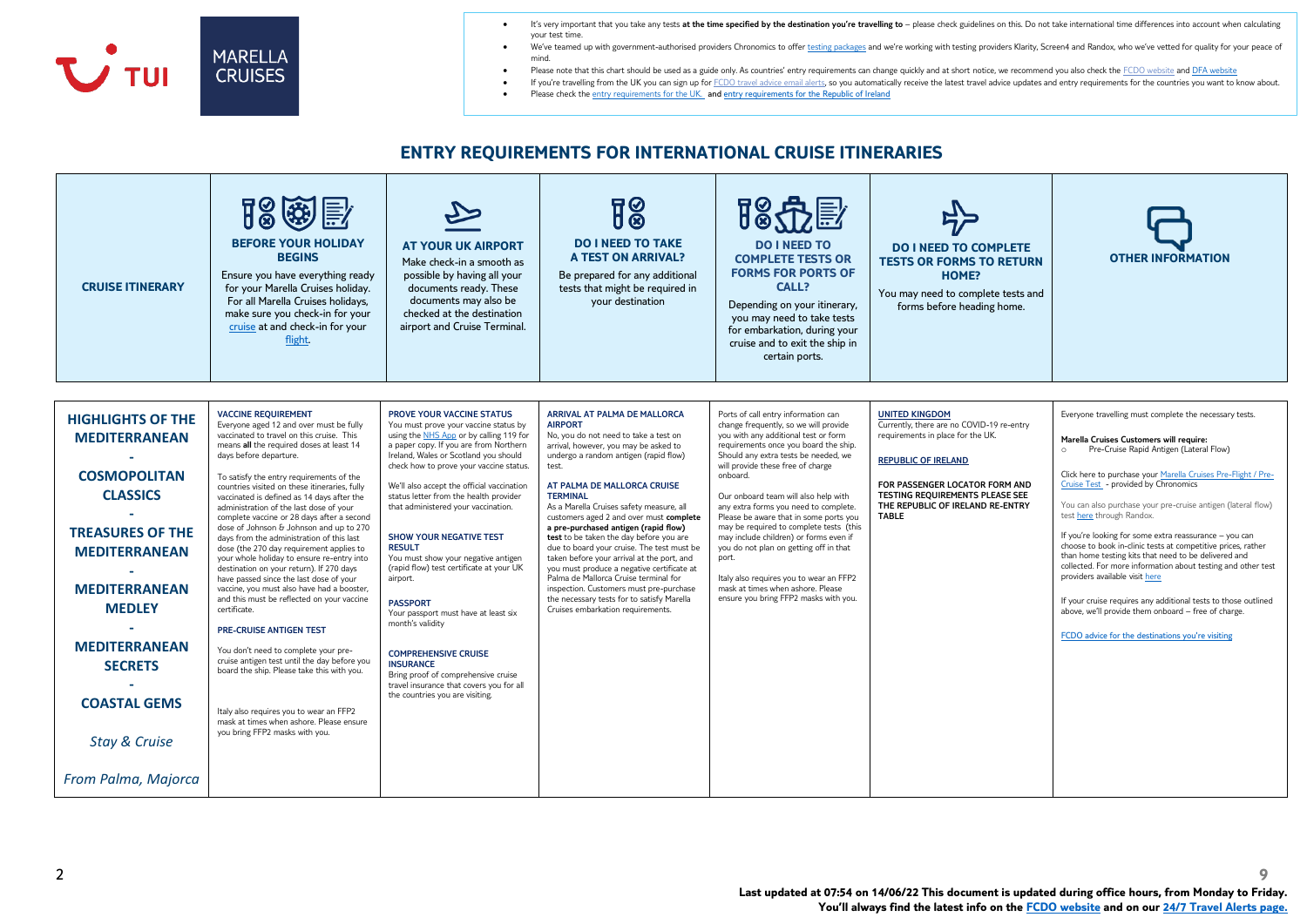

- It's very important that you take any tests **at the time specified by the destination you're travelling to** please check guidelines on this. Do not take international time differences into account when calculating your test time.
- We've teamed up with government-authorised providers Chronomics to offe[r testing packages](https://www.tui.co.uk/destinations/info/covid19-testing) and we're working with testing providers Klarity, Screen4 and Randox, who we've vetted for quality for your peace of mind.
- Please note that this chart should be used as a guide only. As countries' entry requirements can change quickly and at short notice, we recommend you also check th[e FCDO website](https://www.gov.uk/foreign-travel-advice) an[d DFA website](https://www.dfa.ie/)
	- If you're travelling from the UK you can sign up fo[r FCDO travel advice email alerts,](https://eur02.safelinks.protection.outlook.com/?url=https%3A%2F%2Fwww.gov.uk%2Fforeign-travel-advice&data=04%7C01%7CBen.Staff%40tui.co.uk%7Cebcfe79630f04b3a1e4308d8ea073f82%7Ce3e1f65bb973440db61cbc895fc98e28%7C0%7C0%7C637516664139086337%7CUnknown%7CTWFpbGZsb3d8eyJWIjoiMC4wLjAwMDAiLCJQIjoiV2luMzIiLCJBTiI6Ik1haWwiLCJXVCI6Mn0%3D%7C1000&sdata=C0oMsoSNsKs7mZqXeqV4zERR%2FlvTC%2B6MFIqGvVXnj8g%3D&reserved=0) so you automatically receive the latest travel advice updates and entry requirements for the countries you want to know about.
	- Please check th[e entry requirements for the UK.](https://www.tui.co.uk/destinations/info/cruise-entry-requirements) and [entry requirements for the Republic of Ireland](https://www.tuiholidays.ie/f/destinations/info/entry-requirements)

| <b>CRUISE ITINERARY</b>                                                                                                                                                                                                                                                                                    | 18 的 下<br><b>BEFORE YOUR HOLIDAY</b><br><b>BEGINS</b><br>Ensure you have everything ready<br>for your Marella Cruises holiday.<br>For all Marella Cruises holidays,<br>make sure you check-in for your<br>cruise at and check-in for your<br>flight.                                                                                                                                                                                                                                                                                                                                                                                                                                                                                                                                                                                                                                                                                                                                                                                                                                                               | <b>AT YOUR UK AIRPORT</b><br>Make check-in a smooth as<br>possible by having all your<br>documents ready. These<br>documents may also be<br>checked at the destination<br>airport and Cruise Terminal.                                                                                                                                                                                                                                                                                                                                                                                                                                                                                                                                                                                      | $\overline{\rm H}{}^{\bigotimes\!}$<br><b>DO I NEED TO TAKE</b><br><b>A TEST ON ARRIVAL?</b><br>Be prepared for any additional<br>tests that might be required in<br>your destination                                                                                                                                                                                                                                                                                                                                                                                                                                                                                                                                           | 隐免屋<br><b>DO I NEED TO</b><br><b>COMPLETE TESTS OR</b><br><b>FORMS FOR PORTS OF</b><br>CALL?<br>Depending on your itinerary,<br>you may need to take tests<br>for embarkation, during your<br>cruise and to exit the ship in<br>certain ports.                                                                                                                                                                                                                                                                                                                                                                                                     | <b>DO I NEED TO COMPLETE</b><br><b>TESTS OR FORMS TO RETURN</b><br>HOME?<br>You may need to complete tests and<br>forms before heading home.                                                                                                                          | <b>OTHER INFORMATION</b>                                                                                                                                                                                                                                                                                                                                                                                                                                                                                                                                                                                                                                                                                                                                                                                                       |
|------------------------------------------------------------------------------------------------------------------------------------------------------------------------------------------------------------------------------------------------------------------------------------------------------------|--------------------------------------------------------------------------------------------------------------------------------------------------------------------------------------------------------------------------------------------------------------------------------------------------------------------------------------------------------------------------------------------------------------------------------------------------------------------------------------------------------------------------------------------------------------------------------------------------------------------------------------------------------------------------------------------------------------------------------------------------------------------------------------------------------------------------------------------------------------------------------------------------------------------------------------------------------------------------------------------------------------------------------------------------------------------------------------------------------------------|---------------------------------------------------------------------------------------------------------------------------------------------------------------------------------------------------------------------------------------------------------------------------------------------------------------------------------------------------------------------------------------------------------------------------------------------------------------------------------------------------------------------------------------------------------------------------------------------------------------------------------------------------------------------------------------------------------------------------------------------------------------------------------------------|---------------------------------------------------------------------------------------------------------------------------------------------------------------------------------------------------------------------------------------------------------------------------------------------------------------------------------------------------------------------------------------------------------------------------------------------------------------------------------------------------------------------------------------------------------------------------------------------------------------------------------------------------------------------------------------------------------------------------------|----------------------------------------------------------------------------------------------------------------------------------------------------------------------------------------------------------------------------------------------------------------------------------------------------------------------------------------------------------------------------------------------------------------------------------------------------------------------------------------------------------------------------------------------------------------------------------------------------------------------------------------------------|-----------------------------------------------------------------------------------------------------------------------------------------------------------------------------------------------------------------------------------------------------------------------|--------------------------------------------------------------------------------------------------------------------------------------------------------------------------------------------------------------------------------------------------------------------------------------------------------------------------------------------------------------------------------------------------------------------------------------------------------------------------------------------------------------------------------------------------------------------------------------------------------------------------------------------------------------------------------------------------------------------------------------------------------------------------------------------------------------------------------|
| <b>HIGHLIGHTS OF THE</b><br><b>MEDITERRANEAN</b><br><b>COSMOPOLITAN</b><br><b>CLASSICS</b><br><b>TREASURES OF THE</b><br><b>MEDITERRANEAN</b><br><b>MEDITERRANEAN</b><br><b>MEDLEY</b><br><b>MEDITERRANEAN</b><br><b>SECRETS</b><br><b>COASTAL GEMS</b><br><b>Stay &amp; Cruise</b><br>From Palma, Majorca | <b>VACCINE REQUIREMENT</b><br>Everyone aged 12 and over must be fully<br>vaccinated to travel on this cruise. This<br>means all the required doses at least 14<br>days before departure.<br>To satisfy the entry requirements of the<br>countries visited on these itineraries, fully<br>vaccinated is defined as 14 days after the<br>administration of the last dose of your<br>complete vaccine or 28 days after a second<br>dose of Johnson & Johnson and up to 270<br>days from the administration of this last<br>dose (the 270 day requirement applies to<br>your whole holiday to ensure re-entry into<br>destination on your return). If 270 days<br>have passed since the last dose of your<br>vaccine, you must also have had a booster,<br>and this must be reflected on your vaccine<br>certificate.<br><b>PRE-CRUISE ANTIGEN TEST</b><br>You don't need to complete your pre-<br>cruise antigen test until the day before you<br>board the ship. Please take this with you.<br>Italy also requires you to wear an FFP2<br>mask at times when ashore. Please ensure<br>you bring FFP2 masks with you. | <b>PROVE YOUR VACCINE STATUS</b><br>You must prove your vaccine status by<br>using the NHS App or by calling 119 for<br>a paper copy. If you are from Northern<br>Ireland, Wales or Scotland you should<br>check how to prove your vaccine status.<br>We'll also accept the official vaccination<br>status letter from the health provider<br>that administered your vaccination.<br><b>SHOW YOUR NEGATIVE TEST</b><br><b>RESULT</b><br>You must show your negative antigen<br>(rapid flow) test certificate at your UK<br>airport.<br><b>PASSPORT</b><br>Your passport must have at least six<br>month's validity<br><b>COMPREHENSIVE CRUISE</b><br><b>INSURANCE</b><br>Bring proof of comprehensive cruise<br>travel insurance that covers you for all<br>the countries you are visiting. | ARRIVAL AT PALMA DE MALLORCA<br><b>AIRPORT</b><br>No, you do not need to take a test on<br>arrival, however, you may be asked to<br>undergo a random antigen (rapid flow)<br>test.<br>AT PALMA DE MALLORCA CRUISE<br><b>TERMINAL</b><br>As a Marella Cruises safety measure, all<br>customers aged 2 and over must complete<br>a pre-purchased antigen (rapid flow)<br>test to be taken the day before you are<br>due to board your cruise. The test must be<br>taken before your arrival at the port, and<br>you must produce a negative certificate at<br>Palma de Mallorca Cruise terminal for<br>inspection. Customers must pre-purchase<br>the necessary tests for to satisfy Marella<br>Cruises embarkation requirements. | Ports of call entry information can<br>change frequently, so we will provide<br>you with any additional test or form<br>requirements once you board the ship.<br>Should any extra tests be needed, we<br>will provide these free of charge<br>onboard.<br>Our onboard team will also help with<br>any extra forms you need to complete.<br>Please be aware that in some ports you<br>may be required to complete tests (this<br>may include children) or forms even if<br>you do not plan on getting off in that<br>port.<br>Italy also requires you to wear an FFP2<br>mask at times when ashore. Please<br>ensure you bring FFP2 masks with you. | <b>UNITED KINGDOM</b><br>Currently, there are no COVID-19 re-entry<br>requirements in place for the UK.<br><b>REPUBLIC OF IRELAND</b><br>FOR PASSENGER LOCATOR FORM AND<br><b>TESTING REOUIREMENTS PLEASE SEE</b><br>THE REPUBLIC OF IRELAND RE-ENTRY<br><b>TABLE</b> | Everyone travelling must complete the necessary tests.<br>Marella Cruises Customers will require:<br>Pre-Cruise Rapid Antigen (Lateral Flow)<br>$\circ$<br>Click here to purchase your Marella Cruises Pre-Flight / Pre-<br>Cruise Test - provided by Chronomics<br>You can also purchase your pre-cruise antigen (lateral flow)<br>test here through Randox.<br>If you're looking for some extra reassurance - you can<br>choose to book in-clinic tests at competitive prices, rather<br>than home testing kits that need to be delivered and<br>collected. For more information about testing and other test<br>providers available visit here<br>If your cruise requires any additional tests to those outlined<br>above, we'll provide them onboard - free of charge.<br>FCDO advice for the destinations you're visiting |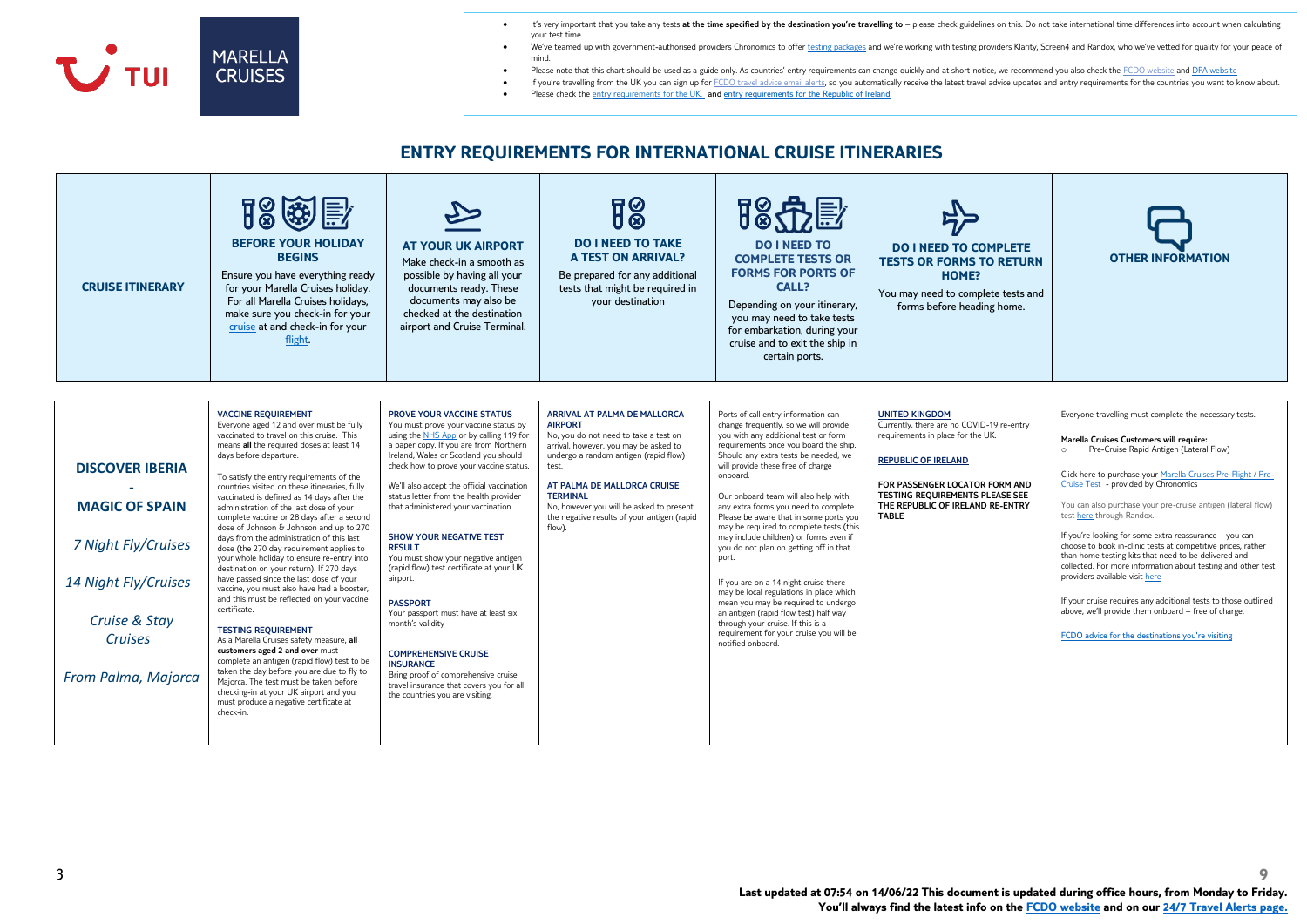

- It's very important that you take any tests **at the time specified by the destination you're travelling to** please check guidelines on this. Do not take international time differences into account when calculating your test time.
- We've teamed up with government-authorised providers Chronomics to offe[r testing packages](https://www.tui.co.uk/destinations/info/covid19-testing) and we're working with testing providers Klarity, Screen4 and Randox, who we've vetted for quality for your peace of mind.
- Please note that this chart should be used as a guide only. As countries' entry requirements can change quickly and at short notice, we recommend you also check th[e FCDO website](https://www.gov.uk/foreign-travel-advice) an[d DFA website](https://www.dfa.ie/)
	- If you're travelling from the UK you can sign up fo[r FCDO travel advice email alerts,](https://eur02.safelinks.protection.outlook.com/?url=https%3A%2F%2Fwww.gov.uk%2Fforeign-travel-advice&data=04%7C01%7CBen.Staff%40tui.co.uk%7Cebcfe79630f04b3a1e4308d8ea073f82%7Ce3e1f65bb973440db61cbc895fc98e28%7C0%7C0%7C637516664139086337%7CUnknown%7CTWFpbGZsb3d8eyJWIjoiMC4wLjAwMDAiLCJQIjoiV2luMzIiLCJBTiI6Ik1haWwiLCJXVCI6Mn0%3D%7C1000&sdata=C0oMsoSNsKs7mZqXeqV4zERR%2FlvTC%2B6MFIqGvVXnj8g%3D&reserved=0) so you automatically receive the latest travel advice updates and entry requirements for the countries you want to know about.
	- Please check th[e entry requirements for the UK.](https://www.tui.co.uk/destinations/info/cruise-entry-requirements) and [entry requirements for the Republic of Ireland](https://www.tuiholidays.ie/f/destinations/info/entry-requirements)

| <b>VACCINE REQUIREMENT</b><br><b>PROVE YOUR VACCINE STATUS</b><br><b>ARRIVAL AT PALMA DE MALLORCA</b><br>Ports of call entry information can<br><b>UNITED KINGDOM</b><br>Everyone travelling must complete the necessary tests.<br>Currently, there are no COVID-19 re-entry<br>Everyone aged 12 and over must be fully<br>You must prove your vaccine status by<br><b>AIRPORT</b><br>change frequently, so we will provide<br>vaccinated to travel on this cruise. This<br>using the NHS App or by calling 119 for<br>you with any additional test or form<br>requirements in place for the UK.<br>No, you do not need to take a test on<br>Marella Cruises Customers will require:<br>a paper copy. If you are from Northern<br>means all the required doses at least 14<br>arrival, however, you may be asked to<br>requirements once you board the ship.<br>Pre-Cruise Rapid Antigen (Lateral Flow)<br>$\circ$<br>days before departure.<br>Ireland, Wales or Scotland you should<br>Should any extra tests be needed, we<br>undergo a random antigen (rapid flow)<br><b>REPUBLIC OF IRELAND</b><br>check how to prove your vaccine status.<br>will provide these free of charge<br>test.<br><b>DISCOVER IBERIA</b><br>Click here to purchase your Marella Cruises Pre-Flight / Pre-<br>onboard.<br>To satisfy the entry requirements of the<br>FOR PASSENGER LOCATOR FORM AND<br>Cruise Test - provided by Chronomics<br>AT PALMA DE MALLORCA CRUISE<br>We'll also accept the official vaccination<br>countries visited on these itineraries, fully<br>TESTING REQUIREMENTS PLEASE SEE<br>status letter from the health provider<br><b>TERMINAL</b><br>Our onboard team will also help with<br>vaccinated is defined as 14 days after the<br>You can also purchase your pre-cruise antigen (lateral flow)<br>THE REPUBLIC OF IRELAND RE-ENTRY<br><b>MAGIC OF SPAIN</b><br>that administered your vaccination.<br>No, however you will be asked to present<br>any extra forms you need to complete.<br>administration of the last dose of your<br>test here through Randox.<br><b>TABLE</b><br>the negative results of your antigen (rapid<br>Please be aware that in some ports you<br>complete vaccine or 28 days after a second<br>flow).<br>may be required to complete tests (this<br>dose of Johnson & Johnson and up to 270<br>If you're looking for some extra reassurance - you can<br><b>SHOW YOUR NEGATIVE TEST</b><br>may include children) or forms even if<br>days from the administration of this last<br>7 Night Fly/Cruises<br>choose to book in-clinic tests at competitive prices, rather<br><b>RESULT</b><br>you do not plan on getting off in that<br>dose (the 270 day requirement applies to<br>than home testing kits that need to be delivered and<br>You must show your negative antigen<br>port.<br>your whole holiday to ensure re-entry into<br>collected. For more information about testing and other test<br>(rapid flow) test certificate at your UK<br>destination on your return). If 270 days<br>providers available visit here<br>have passed since the last dose of your<br>airport.<br>14 Night Fly/Cruises<br>If you are on a 14 night cruise there<br>vaccine, you must also have had a booster,<br>may be local regulations in place which<br>and this must be reflected on your vaccine<br>If your cruise requires any additional tests to those outlined<br><b>PASSPORT</b><br>mean you may be required to undergo<br>certificate.<br>above, we'll provide them onboard - free of charge.<br>Your passport must have at least six<br>an antigen (rapid flow test) half way<br>Cruise & Stay<br>month's validity<br>through your cruise. If this is a<br><b>TESTING REOUIREMENT</b><br>requirement for your cruise you will be<br>FCDO advice for the destinations you're visiting<br><b>Cruises</b><br>As a Marella Cruises safety measure, all<br>notified onboard.<br>customers aged 2 and over must<br><b>COMPREHENSIVE CRUISE</b><br>complete an antigen (rapid flow) test to be<br><b>INSURANCE</b><br>taken the day before you are due to fly to<br>Bring proof of comprehensive cruise<br>From Palma, Majorca<br>Majorca. The test must be taken before<br>travel insurance that covers you for all<br>checking-in at your UK airport and you<br>the countries you are visiting.<br>must produce a negative certificate at<br>check-in. |  |
|------------------------------------------------------------------------------------------------------------------------------------------------------------------------------------------------------------------------------------------------------------------------------------------------------------------------------------------------------------------------------------------------------------------------------------------------------------------------------------------------------------------------------------------------------------------------------------------------------------------------------------------------------------------------------------------------------------------------------------------------------------------------------------------------------------------------------------------------------------------------------------------------------------------------------------------------------------------------------------------------------------------------------------------------------------------------------------------------------------------------------------------------------------------------------------------------------------------------------------------------------------------------------------------------------------------------------------------------------------------------------------------------------------------------------------------------------------------------------------------------------------------------------------------------------------------------------------------------------------------------------------------------------------------------------------------------------------------------------------------------------------------------------------------------------------------------------------------------------------------------------------------------------------------------------------------------------------------------------------------------------------------------------------------------------------------------------------------------------------------------------------------------------------------------------------------------------------------------------------------------------------------------------------------------------------------------------------------------------------------------------------------------------------------------------------------------------------------------------------------------------------------------------------------------------------------------------------------------------------------------------------------------------------------------------------------------------------------------------------------------------------------------------------------------------------------------------------------------------------------------------------------------------------------------------------------------------------------------------------------------------------------------------------------------------------------------------------------------------------------------------------------------------------------------------------------------------------------------------------------------------------------------------------------------------------------------------------------------------------------------------------------------------------------------------------------------------------------------------------------------------------------------------------------------------------------------------------------------------------------------------------------------------------------------------------------------------------------------------------------------------------------------------------------------------------------------------------------------------------------------------------------------------------------------------------------------------------------------------------------------------------------------------------------------------------------------------------------------------------------------------------------------------------------------------------------------------------------------------------------------------------------------------------------------------------------------------------------------------------------------------------------------|--|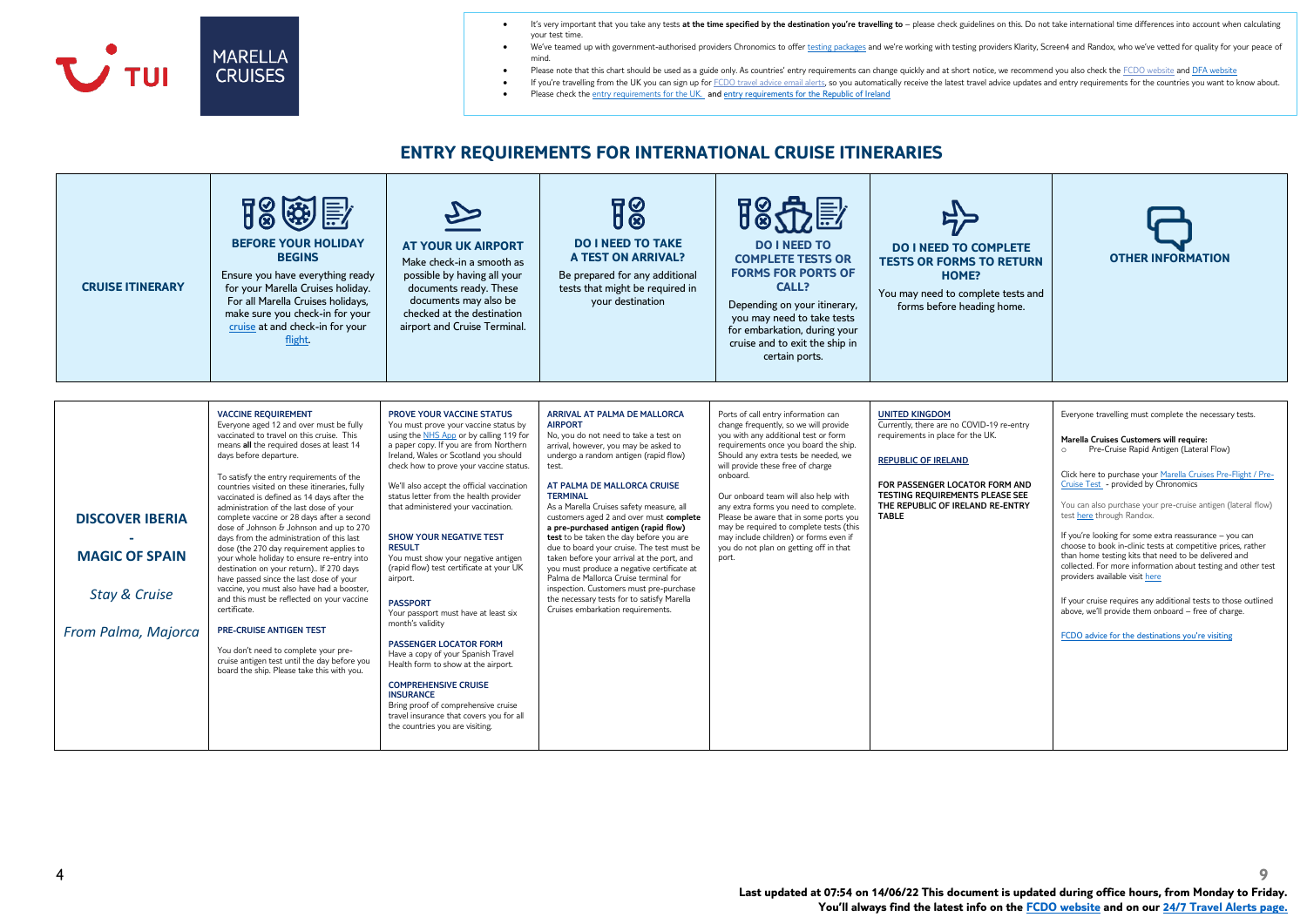

- It's very important that you take any tests **at the time specified by the destination you're travelling to** please check guidelines on this. Do not take international time differences into account when calculating your test time.
- We've teamed up with government-authorised providers Chronomics to offe[r testing packages](https://www.tui.co.uk/destinations/info/covid19-testing) and we're working with testing providers Klarity, Screen4 and Randox, who we've vetted for quality for your peace of mind.
- Please note that this chart should be used as a guide only. As countries' entry requirements can change quickly and at short notice, we recommend you also check th[e FCDO website](https://www.gov.uk/foreign-travel-advice) an[d DFA website](https://www.dfa.ie/)
	- If you're travelling from the UK you can sign up fo[r FCDO travel advice email alerts,](https://eur02.safelinks.protection.outlook.com/?url=https%3A%2F%2Fwww.gov.uk%2Fforeign-travel-advice&data=04%7C01%7CBen.Staff%40tui.co.uk%7Cebcfe79630f04b3a1e4308d8ea073f82%7Ce3e1f65bb973440db61cbc895fc98e28%7C0%7C0%7C637516664139086337%7CUnknown%7CTWFpbGZsb3d8eyJWIjoiMC4wLjAwMDAiLCJQIjoiV2luMzIiLCJBTiI6Ik1haWwiLCJXVCI6Mn0%3D%7C1000&sdata=C0oMsoSNsKs7mZqXeqV4zERR%2FlvTC%2B6MFIqGvVXnj8g%3D&reserved=0) so you automatically receive the latest travel advice updates and entry requirements for the countries you want to know about.
	- Please check th[e entry requirements for the UK.](https://www.tui.co.uk/destinations/info/cruise-entry-requirements) and [entry requirements for the Republic of Ireland](https://www.tuiholidays.ie/f/destinations/info/entry-requirements)

| <b>CRUISE ITINERARY</b>                                                                            | 18 晚 野<br><b>BEFORE YOUR HOLIDAY</b><br><b>BEGINS</b><br>Ensure you have everything ready<br>for your Marella Cruises holiday.<br>For all Marella Cruises holidays,<br>make sure you check-in for your<br>cruise at and check-in for your<br>flight.                                                                                                                                                                                                                                                                                                                                                                                                                                                                                                                                                                                                                                                                                                                                     | <b>AT YOUR UK AIRPORT</b><br>Make check-in a smooth as<br>possible by having all your<br>documents ready. These<br>documents may also be<br>checked at the destination<br>airport and Cruise Terminal.                                                                                                                                                                                                                                                                                                                                                                                                                                                                                                                                                                                                                                                                                                    | 18<br><b>DO I NEED TO TAKE</b><br><b>A TEST ON ARRIVAL?</b><br>Be prepared for any additional<br>tests that might be required in<br>your destination                                                                                                                                                                                                                                                                                                                                                                                                                                                                                                                                                                            | <b>DO I NEED TO</b><br><b>COMPLETE TESTS OR</b><br><b>FORMS FOR PORTS OF</b><br>CALL?<br>Depending on your itinerary,<br>you may need to take tests<br>for embarkation, during your<br>cruise and to exit the ship in<br>certain ports.                                                                                                                                                                                                                                                                                   | <b>DO I NEED TO COMPLETE</b><br><b>TESTS OR FORMS TO RETURN</b><br>HOME?<br>You may need to complete tests and<br>forms before heading home.                                                                                                                   | <b>OTHER INFORMATION</b>                                                                                                                                                                                                                                                                                                                                                                                                                                                                                                                                                                                                                                                                                                                                                                                                       |
|----------------------------------------------------------------------------------------------------|------------------------------------------------------------------------------------------------------------------------------------------------------------------------------------------------------------------------------------------------------------------------------------------------------------------------------------------------------------------------------------------------------------------------------------------------------------------------------------------------------------------------------------------------------------------------------------------------------------------------------------------------------------------------------------------------------------------------------------------------------------------------------------------------------------------------------------------------------------------------------------------------------------------------------------------------------------------------------------------|-----------------------------------------------------------------------------------------------------------------------------------------------------------------------------------------------------------------------------------------------------------------------------------------------------------------------------------------------------------------------------------------------------------------------------------------------------------------------------------------------------------------------------------------------------------------------------------------------------------------------------------------------------------------------------------------------------------------------------------------------------------------------------------------------------------------------------------------------------------------------------------------------------------|---------------------------------------------------------------------------------------------------------------------------------------------------------------------------------------------------------------------------------------------------------------------------------------------------------------------------------------------------------------------------------------------------------------------------------------------------------------------------------------------------------------------------------------------------------------------------------------------------------------------------------------------------------------------------------------------------------------------------------|---------------------------------------------------------------------------------------------------------------------------------------------------------------------------------------------------------------------------------------------------------------------------------------------------------------------------------------------------------------------------------------------------------------------------------------------------------------------------------------------------------------------------|----------------------------------------------------------------------------------------------------------------------------------------------------------------------------------------------------------------------------------------------------------------|--------------------------------------------------------------------------------------------------------------------------------------------------------------------------------------------------------------------------------------------------------------------------------------------------------------------------------------------------------------------------------------------------------------------------------------------------------------------------------------------------------------------------------------------------------------------------------------------------------------------------------------------------------------------------------------------------------------------------------------------------------------------------------------------------------------------------------|
| <b>DISCOVER IBERIA</b><br><b>MAGIC OF SPAIN</b><br><b>Stay &amp; Cruise</b><br>From Palma, Majorca | <b>VACCINE REOUIREMENT</b><br>Everyone aged 12 and over must be fully<br>vaccinated to travel on this cruise. This<br>means all the required doses at least 14<br>days before departure.<br>To satisfy the entry requirements of the<br>countries visited on these itineraries, fully<br>vaccinated is defined as 14 days after the<br>administration of the last dose of your<br>complete vaccine or 28 days after a second<br>dose of Johnson & Johnson and up to 270<br>days from the administration of this last<br>dose (the 270 day requirement applies to<br>your whole holiday to ensure re-entry into<br>destination on your return) If 270 days<br>have passed since the last dose of your<br>vaccine, you must also have had a booster,<br>and this must be reflected on your vaccine<br>certificate.<br><b>PRE-CRUISE ANTIGEN TEST</b><br>You don't need to complete your pre-<br>cruise antigen test until the day before you<br>board the ship. Please take this with you. | <b>PROVE YOUR VACCINE STATUS</b><br>You must prove your vaccine status by<br>using the NHS App or by calling 119 for<br>a paper copy. If you are from Northern<br>Ireland, Wales or Scotland you should<br>check how to prove your vaccine status.<br>We'll also accept the official vaccination<br>status letter from the health provider<br>that administered your vaccination.<br><b>SHOW YOUR NEGATIVE TEST</b><br><b>RESULT</b><br>You must show your negative antigen<br>(rapid flow) test certificate at your UK<br>airport.<br><b>PASSPORT</b><br>Your passport must have at least six<br>month's validity<br><b>PASSENGER LOCATOR FORM</b><br>Have a copy of your Spanish Travel<br>Health form to show at the airport.<br><b>COMPREHENSIVE CRUISE</b><br><b>INSURANCE</b><br>Bring proof of comprehensive cruise<br>travel insurance that covers you for all<br>the countries you are visiting. | ARRIVAL AT PALMA DE MALLORCA<br><b>AIRPORT</b><br>No, you do not need to take a test on<br>arrival, however, you may be asked to<br>undergo a random antigen (rapid flow)<br>test.<br>AT PALMA DE MALLORCA CRUISE<br><b>TERMINAL</b><br>As a Marella Cruises safety measure, all<br>customers aged 2 and over must complete<br>a pre-purchased antigen (rapid flow)<br>test to be taken the day before you are<br>due to board your cruise. The test must be<br>taken before your arrival at the port, and<br>you must produce a negative certificate at<br>Palma de Mallorca Cruise terminal for<br>inspection. Customers must pre-purchase<br>the necessary tests for to satisfy Marella<br>Cruises embarkation requirements. | Ports of call entry information can<br>change frequently, so we will provide<br>you with any additional test or form<br>requirements once you board the ship.<br>Should any extra tests be needed, we<br>will provide these free of charge<br>onboard.<br>Our onboard team will also help with<br>any extra forms you need to complete.<br>Please be aware that in some ports you<br>may be required to complete tests (this<br>may include children) or forms even if<br>you do not plan on getting off in that<br>port. | <b>UNITED KINGDOM</b><br>Currently, there are no COVID-19 re-entry<br>requirements in place for the UK.<br><b>REPUBLIC OF IRELAND</b><br>FOR PASSENGER LOCATOR FORM AND<br>TESTING REQUIREMENTS PLEASE SEE<br>THE REPUBLIC OF IRELAND RE-ENTRY<br><b>TABLE</b> | Everyone travelling must complete the necessary tests.<br>Marella Cruises Customers will require:<br>Pre-Cruise Rapid Antigen (Lateral Flow)<br>$\circ$<br>Click here to purchase your Marella Cruises Pre-Flight / Pre-<br>Cruise Test - provided by Chronomics<br>You can also purchase your pre-cruise antigen (lateral flow)<br>test here through Randox.<br>If you're looking for some extra reassurance - you can<br>choose to book in-clinic tests at competitive prices, rather<br>than home testing kits that need to be delivered and<br>collected. For more information about testing and other test<br>providers available visit here<br>If your cruise requires any additional tests to those outlined<br>above, we'll provide them onboard - free of charge.<br>FCDO advice for the destinations you're visiting |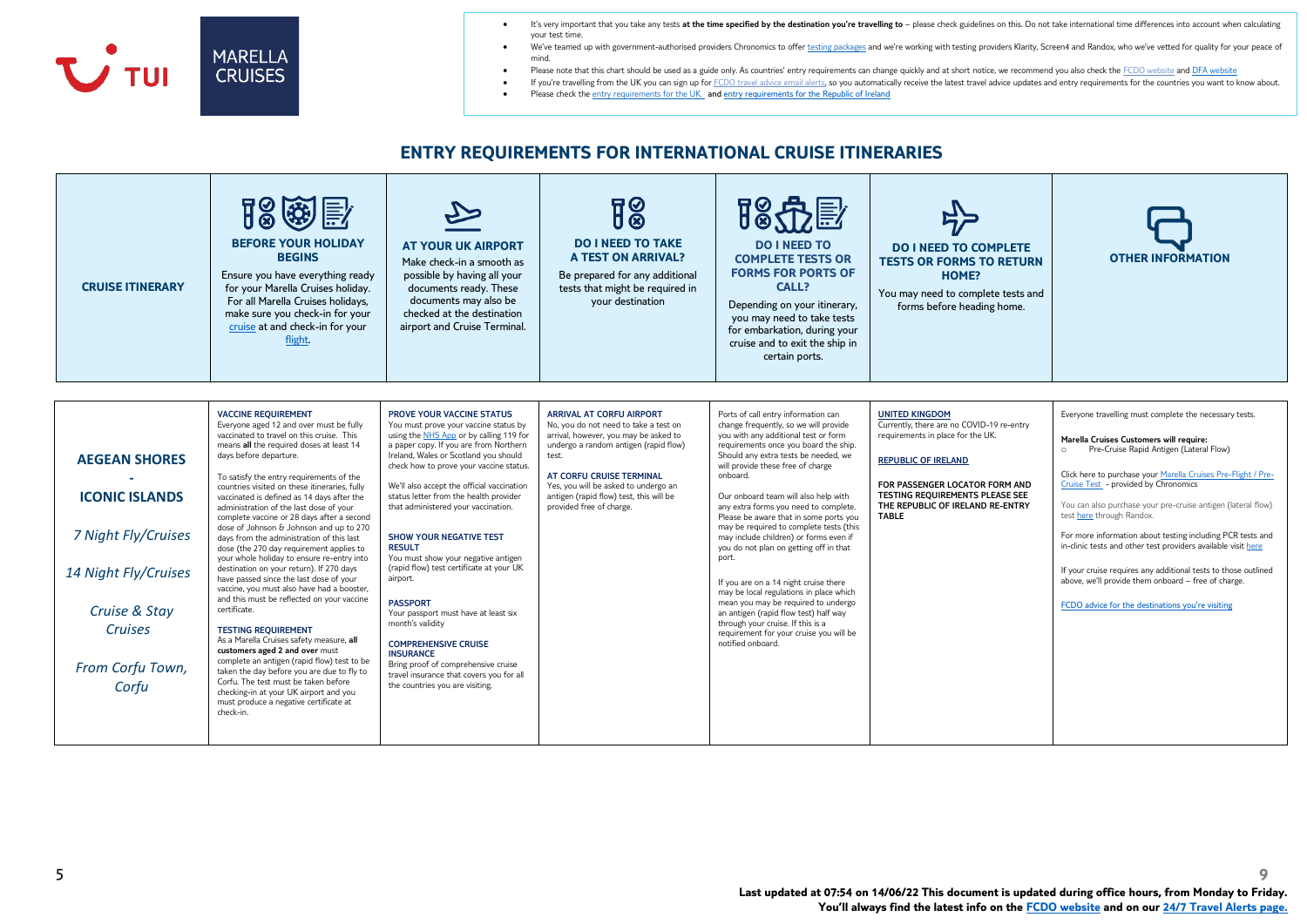

- It's very important that you take any tests **at the time specified by the destination you're travelling to** please check guidelines on this. Do not take international time differences into account when calculating your test time.
- We've teamed up with government-authorised providers Chronomics to offe[r testing packages](https://www.tui.co.uk/destinations/info/covid19-testing) and we're working with testing providers Klarity, Screen4 and Randox, who we've vetted for quality for your peace of mind.
- Please note that this chart should be used as a guide only. As countries' entry requirements can change quickly and at short notice, we recommend you also check th[e FCDO website](https://www.gov.uk/foreign-travel-advice) an[d DFA website](https://www.dfa.ie/)
	- If you're travelling from the UK you can sign up fo[r FCDO travel advice email alerts,](https://eur02.safelinks.protection.outlook.com/?url=https%3A%2F%2Fwww.gov.uk%2Fforeign-travel-advice&data=04%7C01%7CBen.Staff%40tui.co.uk%7Cebcfe79630f04b3a1e4308d8ea073f82%7Ce3e1f65bb973440db61cbc895fc98e28%7C0%7C0%7C637516664139086337%7CUnknown%7CTWFpbGZsb3d8eyJWIjoiMC4wLjAwMDAiLCJQIjoiV2luMzIiLCJBTiI6Ik1haWwiLCJXVCI6Mn0%3D%7C1000&sdata=C0oMsoSNsKs7mZqXeqV4zERR%2FlvTC%2B6MFIqGvVXnj8g%3D&reserved=0) so you automatically receive the latest travel advice updates and entry requirements for the countries you want to know about.
	- Please check th[e entry requirements for the UK.](https://www.tui.co.uk/destinations/info/cruise-entry-requirements) and [entry requirements for the Republic of Ireland](https://www.tuiholidays.ie/f/destinations/info/entry-requirements)

| <b>CRUISE ITINERARY</b>                                                                                                                                      | 18 晚 下<br><b>BEFORE YOUR HOLIDAY</b><br><b>BEGINS</b><br>Ensure you have everything ready<br>for your Marella Cruises holiday.<br>For all Marella Cruises holidays,<br>make sure you check-in for your<br>cruise at and check-in for your<br>flight.                                                                                                                                                                                                                                                                                                                                                                                                                                                                                                                                                                                                                                                                                                                                                                                                                                                                                                                | <b>AT YOUR UK AIRPORT</b><br>Make check-in a smooth as<br>possible by having all your<br>documents ready. These<br>documents may also be<br>checked at the destination<br>airport and Cruise Terminal.                                                                                                                                                                                                                                                                                                                                                                                                                                                                                                                                                                                      | 18<br><b>DO I NEED TO TAKE</b><br><b>A TEST ON ARRIVAL?</b><br>Be prepared for any additional<br>tests that might be required in<br>your destination                                                                                                                                                           | <b>DO I NEED TO</b><br><b>COMPLETE TESTS OR</b><br><b>FORMS FOR PORTS OF</b><br>CALL?<br>Depending on your itinerary,<br>you may need to take tests<br>for embarkation, during your<br>cruise and to exit the ship in<br>certain ports.                                                                                                                                                                                                                                                                                                                                                                                                                                                                                                                                                            | <b>DO I NEED TO COMPLETE</b><br><b>TESTS OR FORMS TO RETURN</b><br>HOME?<br>You may need to complete tests and<br>forms before heading home.                                                                                                                   | <b>OTHER INFORMATION</b>                                                                                                                                                                                                                                                                                                                                                                                                                                                                                                                                                                                                                                                  |
|--------------------------------------------------------------------------------------------------------------------------------------------------------------|---------------------------------------------------------------------------------------------------------------------------------------------------------------------------------------------------------------------------------------------------------------------------------------------------------------------------------------------------------------------------------------------------------------------------------------------------------------------------------------------------------------------------------------------------------------------------------------------------------------------------------------------------------------------------------------------------------------------------------------------------------------------------------------------------------------------------------------------------------------------------------------------------------------------------------------------------------------------------------------------------------------------------------------------------------------------------------------------------------------------------------------------------------------------|---------------------------------------------------------------------------------------------------------------------------------------------------------------------------------------------------------------------------------------------------------------------------------------------------------------------------------------------------------------------------------------------------------------------------------------------------------------------------------------------------------------------------------------------------------------------------------------------------------------------------------------------------------------------------------------------------------------------------------------------------------------------------------------------|----------------------------------------------------------------------------------------------------------------------------------------------------------------------------------------------------------------------------------------------------------------------------------------------------------------|----------------------------------------------------------------------------------------------------------------------------------------------------------------------------------------------------------------------------------------------------------------------------------------------------------------------------------------------------------------------------------------------------------------------------------------------------------------------------------------------------------------------------------------------------------------------------------------------------------------------------------------------------------------------------------------------------------------------------------------------------------------------------------------------------|----------------------------------------------------------------------------------------------------------------------------------------------------------------------------------------------------------------------------------------------------------------|---------------------------------------------------------------------------------------------------------------------------------------------------------------------------------------------------------------------------------------------------------------------------------------------------------------------------------------------------------------------------------------------------------------------------------------------------------------------------------------------------------------------------------------------------------------------------------------------------------------------------------------------------------------------------|
| <b>AEGEAN SHORES</b><br><b>ICONIC ISLANDS</b><br>7 Night Fly/Cruises<br>14 Night Fly/Cruises<br>Cruise & Stay<br><b>Cruises</b><br>From Corfu Town,<br>Corfu | <b>VACCINE REQUIREMENT</b><br>Everyone aged 12 and over must be fully<br>vaccinated to travel on this cruise. This<br>means all the required doses at least 14<br>days before departure.<br>To satisfy the entry requirements of the<br>countries visited on these itineraries, fully<br>vaccinated is defined as 14 days after the<br>administration of the last dose of your<br>complete vaccine or 28 days after a second<br>dose of Johnson & Johnson and up to 270<br>days from the administration of this last<br>dose (the 270 day requirement applies to<br>your whole holiday to ensure re-entry into<br>destination on your return). If 270 days<br>have passed since the last dose of your<br>vaccine, you must also have had a booster,<br>and this must be reflected on your vaccine<br>certificate.<br><b>TESTING REOUIREMENT</b><br>As a Marella Cruises safety measure, all<br>customers aged 2 and over must<br>complete an antigen (rapid flow) test to be<br>taken the day before you are due to fly to<br>Corfu. The test must be taken before<br>checking-in at your UK airport and you<br>must produce a negative certificate at<br>check-in. | <b>PROVE YOUR VACCINE STATUS</b><br>You must prove your vaccine status by<br>using the NHS App or by calling 119 for<br>a paper copy. If you are from Northern<br>Ireland, Wales or Scotland you should<br>check how to prove your vaccine status.<br>We'll also accept the official vaccination<br>status letter from the health provider<br>that administered your vaccination.<br><b>SHOW YOUR NEGATIVE TEST</b><br><b>RESULT</b><br>You must show your negative antigen<br>(rapid flow) test certificate at your UK<br>airport.<br><b>PASSPORT</b><br>Your passport must have at least six<br>month's validity<br><b>COMPREHENSIVE CRUISE</b><br><b>INSURANCE</b><br>Bring proof of comprehensive cruise<br>travel insurance that covers you for all<br>the countries you are visiting. | <b>ARRIVAL AT CORFU AIRPORT</b><br>No, you do not need to take a test on<br>arrival, however, you may be asked to<br>undergo a random antigen (rapid flow)<br>test.<br>AT CORFU CRUISE TERMINAL<br>Yes, you will be asked to undergo an<br>antigen (rapid flow) test, this will be<br>provided free of charge. | Ports of call entry information can<br>change frequently, so we will provide<br>you with any additional test or form<br>requirements once you board the ship.<br>Should any extra tests be needed, we<br>will provide these free of charge<br>onboard.<br>Our onboard team will also help with<br>any extra forms you need to complete.<br>Please be aware that in some ports you<br>may be required to complete tests (this<br>may include children) or forms even if<br>you do not plan on getting off in that<br>port.<br>If you are on a 14 night cruise there<br>may be local regulations in place which<br>mean you may be required to undergo<br>an antigen (rapid flow test) half way<br>through your cruise. If this is a<br>requirement for your cruise you will be<br>notified onboard. | <b>UNITED KINGDOM</b><br>Currently, there are no COVID-19 re-entry<br>requirements in place for the UK.<br><b>REPUBLIC OF IRELAND</b><br>FOR PASSENGER LOCATOR FORM AND<br>TESTING REQUIREMENTS PLEASE SEE<br>THE REPUBLIC OF IRELAND RE-ENTRY<br><b>TABLE</b> | Everyone travelling must complete the necessary tests.<br>Marella Cruises Customers will require:<br>Pre-Cruise Rapid Antigen (Lateral Flow)<br>$\circ$<br>Click here to purchase your Marella Cruises Pre-Flight / Pre-<br>Cruise Test - provided by Chronomics<br>You can also purchase your pre-cruise antigen (lateral flow)<br>test here through Randox.<br>For more information about testing including PCR tests and<br>in-clinic tests and other test providers available visit here<br>If your cruise requires any additional tests to those outlined<br>above, we'll provide them onboard - free of charge.<br>FCDO advice for the destinations you're visiting |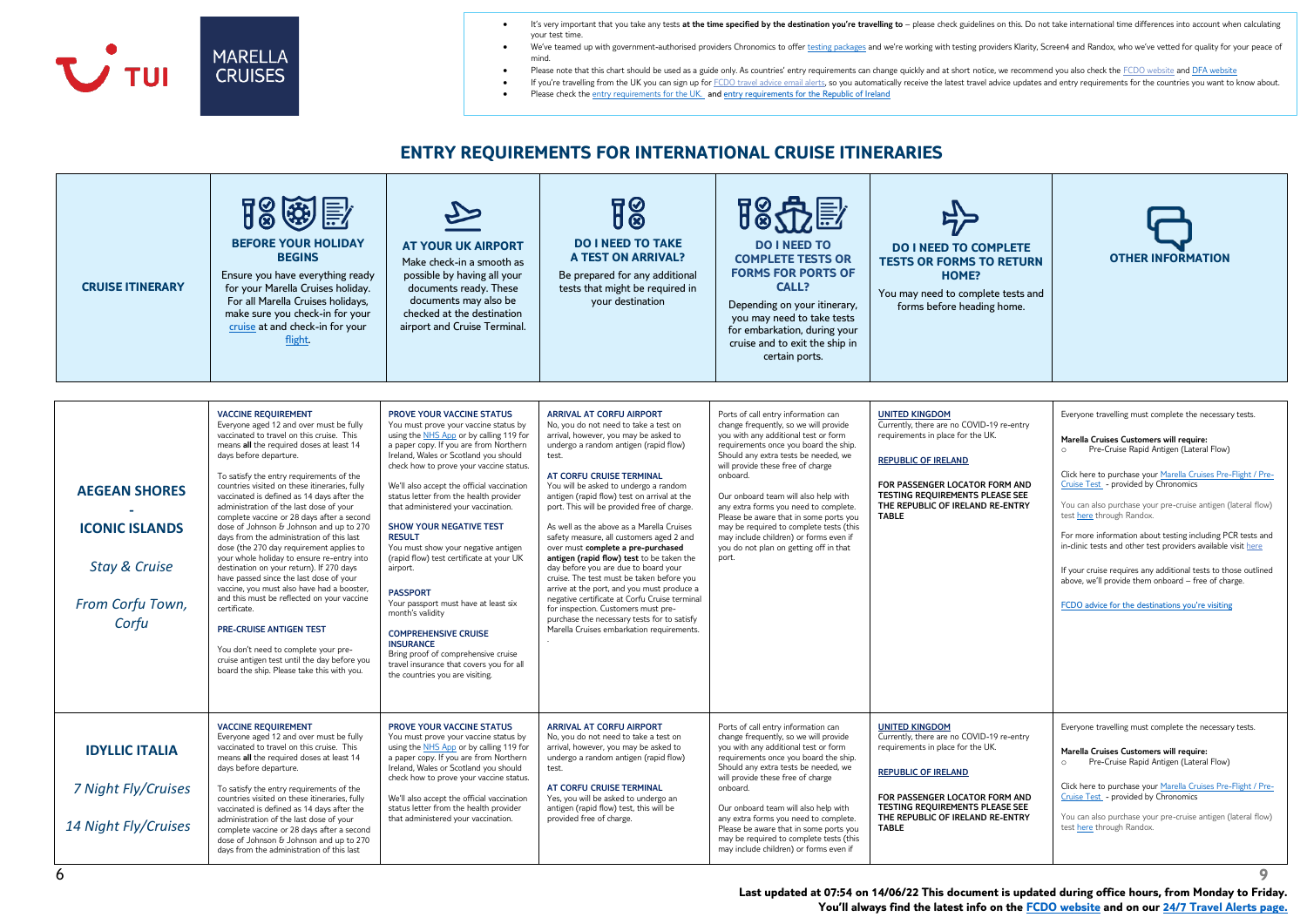

- It's very important that you take any tests **at the time specified by the destination you're travelling to** please check guidelines on this. Do not take international time differences into account when calculating your test time.
- We've teamed up with government-authorised providers Chronomics to offe[r testing packages](https://www.tui.co.uk/destinations/info/covid19-testing) and we're working with testing providers Klarity, Screen4 and Randox, who we've vetted for quality for your peace of mind.
- Please note that this chart should be used as a guide only. As countries' entry requirements can change quickly and at short notice, we recommend you also check th[e FCDO website](https://www.gov.uk/foreign-travel-advice) an[d DFA website](https://www.dfa.ie/)
	- If you're travelling from the UK you can sign up fo[r FCDO travel advice email alerts,](https://eur02.safelinks.protection.outlook.com/?url=https%3A%2F%2Fwww.gov.uk%2Fforeign-travel-advice&data=04%7C01%7CBen.Staff%40tui.co.uk%7Cebcfe79630f04b3a1e4308d8ea073f82%7Ce3e1f65bb973440db61cbc895fc98e28%7C0%7C0%7C637516664139086337%7CUnknown%7CTWFpbGZsb3d8eyJWIjoiMC4wLjAwMDAiLCJQIjoiV2luMzIiLCJBTiI6Ik1haWwiLCJXVCI6Mn0%3D%7C1000&sdata=C0oMsoSNsKs7mZqXeqV4zERR%2FlvTC%2B6MFIqGvVXnj8g%3D&reserved=0) so you automatically receive the latest travel advice updates and entry requirements for the countries you want to know about.
	- Please check th[e entry requirements for the UK.](https://www.tui.co.uk/destinations/info/cruise-entry-requirements) and [entry requirements for the Republic of Ireland](https://www.tuiholidays.ie/f/destinations/info/entry-requirements)

| <b>CRUISE ITINERARY</b>                                                                                | 18 的 下<br><b>BEFORE YOUR HOLIDAY</b><br><b>BEGINS</b><br>Ensure you have everything ready<br>for your Marella Cruises holiday.<br>For all Marella Cruises holidays,<br>make sure you check-in for your<br>cruise at and check-in for your<br>flight.                                                                                                                                                                                                                                                                                                                                                                                                                                                                                                                                                                                                                                                                                                                                      | <b>AT YOUR UK AIRPORT</b><br>Make check-in a smooth as<br>possible by having all your<br>documents ready. These<br>documents may also be<br>checked at the destination<br>airport and Cruise Terminal.                                                                                                                                                                                                                                                                                                                                                                                                                                                                                                                                                                               | $\overline{18}$<br><b>DO I NEED TO TAKE</b><br><b>A TEST ON ARRIVAL?</b><br>Be prepared for any additional<br>tests that might be required in<br>your destination                                                                                                                                                                                                                                                                                                                                                                                                                                                                                                                                                                                                                                                                        | 18分层<br><b>DO I NEED TO</b><br><b>COMPLETE TESTS OR</b><br><b>FORMS FOR PORTS OF</b><br><b>CALL?</b><br>Depending on your itinerary,<br>you may need to take tests<br>for embarkation, during your<br>cruise and to exit the ship in<br>certain ports.                                                                                                                                                                                                                                                                    | <b>DO I NEED TO COMPLETE</b><br><b>TESTS OR FORMS TO RETURN</b><br>HOME?<br>You may need to complete tests and<br>forms before heading home.                                                                                                                   | <b>OTHER INFORMATION</b>                                                                                                                                                                                                                                                                                                                                                                                                                                                                                                                                                                                                                                                  |
|--------------------------------------------------------------------------------------------------------|-------------------------------------------------------------------------------------------------------------------------------------------------------------------------------------------------------------------------------------------------------------------------------------------------------------------------------------------------------------------------------------------------------------------------------------------------------------------------------------------------------------------------------------------------------------------------------------------------------------------------------------------------------------------------------------------------------------------------------------------------------------------------------------------------------------------------------------------------------------------------------------------------------------------------------------------------------------------------------------------|--------------------------------------------------------------------------------------------------------------------------------------------------------------------------------------------------------------------------------------------------------------------------------------------------------------------------------------------------------------------------------------------------------------------------------------------------------------------------------------------------------------------------------------------------------------------------------------------------------------------------------------------------------------------------------------------------------------------------------------------------------------------------------------|------------------------------------------------------------------------------------------------------------------------------------------------------------------------------------------------------------------------------------------------------------------------------------------------------------------------------------------------------------------------------------------------------------------------------------------------------------------------------------------------------------------------------------------------------------------------------------------------------------------------------------------------------------------------------------------------------------------------------------------------------------------------------------------------------------------------------------------|---------------------------------------------------------------------------------------------------------------------------------------------------------------------------------------------------------------------------------------------------------------------------------------------------------------------------------------------------------------------------------------------------------------------------------------------------------------------------------------------------------------------------|----------------------------------------------------------------------------------------------------------------------------------------------------------------------------------------------------------------------------------------------------------------|---------------------------------------------------------------------------------------------------------------------------------------------------------------------------------------------------------------------------------------------------------------------------------------------------------------------------------------------------------------------------------------------------------------------------------------------------------------------------------------------------------------------------------------------------------------------------------------------------------------------------------------------------------------------------|
| <b>AEGEAN SHORES</b><br><b>ICONIC ISLANDS</b><br><b>Stay &amp; Cruise</b><br>From Corfu Town,<br>Corfu | <b>VACCINE REOUIREMENT</b><br>Evervone aged 12 and over must be fully<br>vaccinated to travel on this cruise. This<br>means all the required doses at least 14<br>days before departure.<br>To satisfy the entry requirements of the<br>countries visited on these itineraries, fully<br>vaccinated is defined as 14 days after the<br>administration of the last dose of your<br>complete vaccine or 28 days after a second<br>dose of Johnson & Johnson and up to 270<br>days from the administration of this last<br>dose (the 270 day requirement applies to<br>your whole holiday to ensure re-entry into<br>destination on your return). If 270 days<br>have passed since the last dose of your<br>vaccine, you must also have had a booster,<br>and this must be reflected on your vaccine<br>certificate.<br><b>PRE-CRUISE ANTIGEN TEST</b><br>You don't need to complete your pre-<br>cruise antigen test until the day before you<br>board the ship. Please take this with you. | PROVE YOUR VACCINE STATUS<br>You must prove your vaccine status by<br>using the NHS App or by calling 119 for<br>a paper copy. If you are from Northern<br>Ireland, Wales or Scotland you should<br>check how to prove your vaccine status.<br>We'll also accept the official vaccination<br>status letter from the health provider<br>that administered your vaccination.<br><b>SHOW YOUR NEGATIVE TEST</b><br><b>RESULT</b><br>You must show your negative antigen<br>(rapid flow) test certificate at your UK<br>airport.<br><b>PASSPORT</b><br>Your passport must have at least six<br>month's validity<br><b>COMPREHENSIVE CRUISE</b><br><b>INSURANCE</b><br>Bring proof of comprehensive cruise<br>travel insurance that covers you for all<br>the countries you are visiting. | <b>ARRIVAL AT CORFU AIRPORT</b><br>No, you do not need to take a test on<br>arrival, however, you may be asked to<br>undergo a random antigen (rapid flow)<br>test.<br>AT CORFU CRUISE TERMINAL<br>You will be asked to undergo a random<br>antigen (rapid flow) test on arrival at the<br>port. This will be provided free of charge<br>As well as the above as a Marella Cruises<br>safety measure, all customers aged 2 and<br>over must complete a pre-purchased<br>antigen (rapid flow) test to be taken the<br>day before you are due to board your<br>cruise. The test must be taken before you<br>arrive at the port, and you must produce a<br>negative certificate at Corfu Cruise terminal<br>for inspection. Customers must pre-<br>purchase the necessary tests for to satisfy<br>Marella Cruises embarkation requirements. | Ports of call entry information can<br>change frequently, so we will provide<br>you with any additional test or form<br>requirements once you board the ship.<br>Should any extra tests be needed, we<br>will provide these free of charge<br>onboard.<br>Our onboard team will also help with<br>any extra forms you need to complete.<br>Please be aware that in some ports you<br>may be required to complete tests (this<br>may include children) or forms even if<br>you do not plan on getting off in that<br>port. | <b>UNITED KINGDOM</b><br>Currently, there are no COVID-19 re-entry<br>requirements in place for the UK.<br><b>REPUBLIC OF IRELAND</b><br>FOR PASSENGER LOCATOR FORM AND<br>TESTING REQUIREMENTS PLEASE SEE<br>THE REPUBLIC OF IRELAND RE-ENTRY<br><b>TABLE</b> | Everyone travelling must complete the necessary tests.<br>Marella Cruises Customers will require:<br>Pre-Cruise Rapid Antigen (Lateral Flow)<br>$\circ$<br>Click here to purchase your Marella Cruises Pre-Flight / Pre-<br>Cruise Test - provided by Chronomics<br>You can also purchase your pre-cruise antigen (lateral flow)<br>test here through Randox.<br>For more information about testing including PCR tests and<br>in-clinic tests and other test providers available visit here<br>If your cruise requires any additional tests to those outlined<br>above, we'll provide them onboard - free of charge.<br>FCDO advice for the destinations you're visiting |
| <b>IDYLLIC ITALIA</b><br>7 Night Fly/Cruises<br>14 Night Fly/Cruises                                   | <b>VACCINE REOUIREMENT</b><br>Everyone aged 12 and over must be fully<br>vaccinated to travel on this cruise. This<br>means all the required doses at least 14<br>days before departure.<br>To satisfy the entry requirements of the<br>countries visited on these itineraries, fully<br>vaccinated is defined as 14 days after the<br>administration of the last dose of your<br>complete vaccine or 28 days after a second<br>dose of Johnson & Johnson and up to 270<br>days from the administration of this last                                                                                                                                                                                                                                                                                                                                                                                                                                                                      | <b>PROVE YOUR VACCINE STATUS</b><br>You must prove your vaccine status by<br>using the NHS App or by calling 119 for<br>a paper copy. If you are from Northern<br>Ireland, Wales or Scotland you should<br>check how to prove your vaccine status.<br>We'll also accept the official vaccination<br>status letter from the health provider<br>that administered your vaccination.                                                                                                                                                                                                                                                                                                                                                                                                    | <b>ARRIVAL AT CORFU AIRPORT</b><br>No, you do not need to take a test on<br>arrival, however, you may be asked to<br>undergo a random antigen (rapid flow)<br>test.<br>AT CORFU CRUISE TERMINAL<br>Yes, you will be asked to undergo an<br>antigen (rapid flow) test, this will be<br>provided free of charge.                                                                                                                                                                                                                                                                                                                                                                                                                                                                                                                           | Ports of call entry information can<br>change frequently, so we will provide<br>you with any additional test or form<br>requirements once you board the ship.<br>Should any extra tests be needed, we<br>will provide these free of charge<br>onboard.<br>Our onboard team will also help with<br>any extra forms you need to complete.<br>Please be aware that in some ports you<br>may be required to complete tests (this<br>may include children) or forms even if                                                    | <b>UNITED KINGDOM</b><br>Currently, there are no COVID-19 re-entry<br>requirements in place for the UK.<br><b>REPUBLIC OF IRELAND</b><br>FOR PASSENGER LOCATOR FORM AND<br>TESTING REOUIREMENTS PLEASE SEE<br>THE REPUBLIC OF IRELAND RE-ENTRY<br><b>TABLE</b> | Everyone travelling must complete the necessary tests.<br>Marella Cruises Customers will require:<br>Pre-Cruise Rapid Antigen (Lateral Flow)<br>$\circ$<br>Click here to purchase your Marella Cruises Pre-Flight / Pre-<br>Cruise Test - provided by Chronomics<br>You can also purchase your pre-cruise antigen (lateral flow)<br>test here through Randox.                                                                                                                                                                                                                                                                                                             |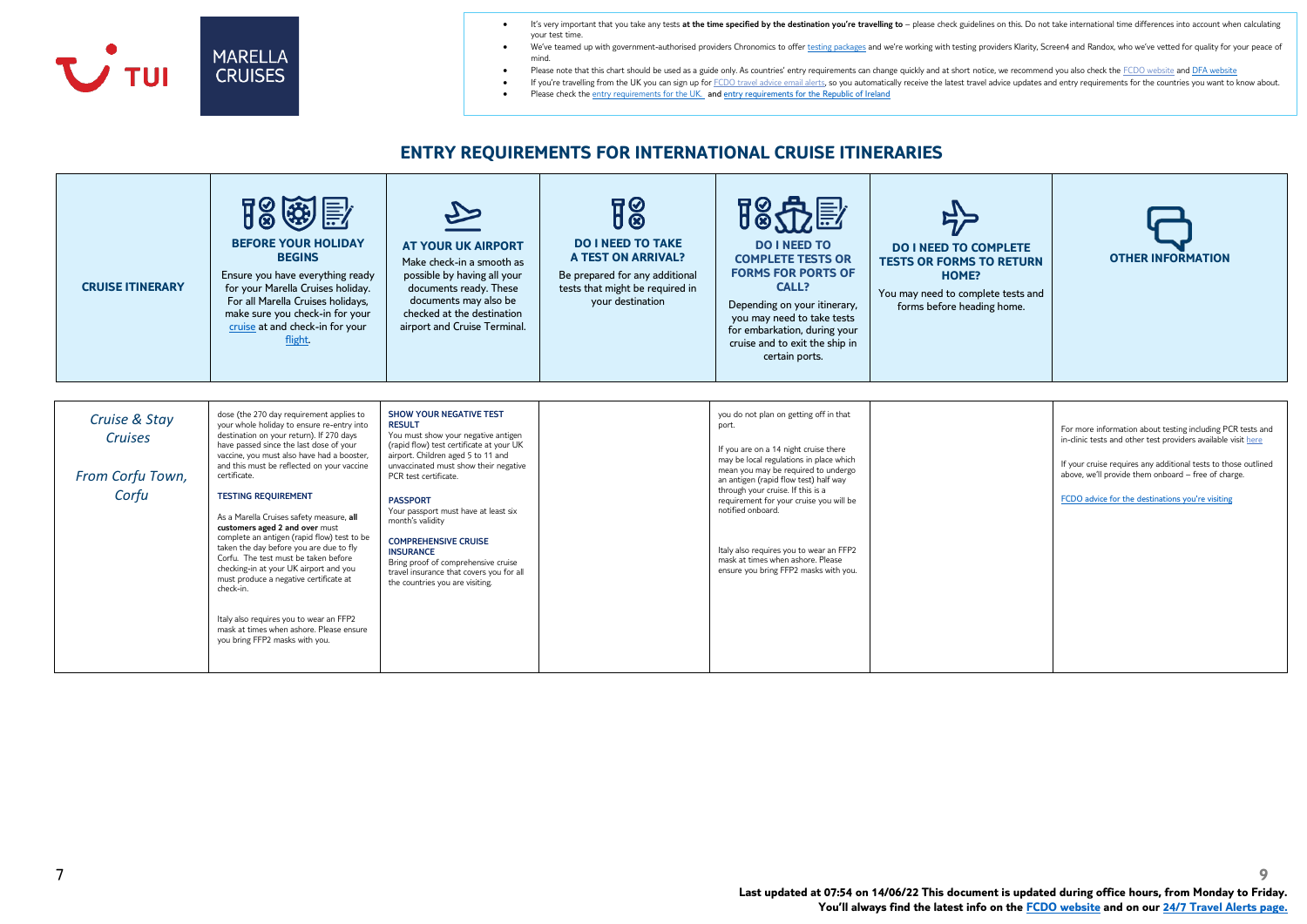

- It's very important that you take any tests **at the time specified by the destination you're travelling to** please check guidelines on this. Do not take international time differences into account when calculating your test time.
- We've teamed up with government-authorised providers Chronomics to offe[r testing packages](https://www.tui.co.uk/destinations/info/covid19-testing) and we're working with testing providers Klarity, Screen4 and Randox, who we've vetted for quality for your peace of mind.
- Please note that this chart should be used as a guide only. As countries' entry requirements can change quickly and at short notice, we recommend you also check th[e FCDO website](https://www.gov.uk/foreign-travel-advice) an[d DFA website](https://www.dfa.ie/)
	- If you're travelling from the UK you can sign up fo[r FCDO travel advice email alerts,](https://eur02.safelinks.protection.outlook.com/?url=https%3A%2F%2Fwww.gov.uk%2Fforeign-travel-advice&data=04%7C01%7CBen.Staff%40tui.co.uk%7Cebcfe79630f04b3a1e4308d8ea073f82%7Ce3e1f65bb973440db61cbc895fc98e28%7C0%7C0%7C637516664139086337%7CUnknown%7CTWFpbGZsb3d8eyJWIjoiMC4wLjAwMDAiLCJQIjoiV2luMzIiLCJBTiI6Ik1haWwiLCJXVCI6Mn0%3D%7C1000&sdata=C0oMsoSNsKs7mZqXeqV4zERR%2FlvTC%2B6MFIqGvVXnj8g%3D&reserved=0) so you automatically receive the latest travel advice updates and entry requirements for the countries you want to know about.
	- Please check th[e entry requirements for the UK.](https://www.tui.co.uk/destinations/info/cruise-entry-requirements) and [entry requirements for the Republic of Ireland](https://www.tuiholidays.ie/f/destinations/info/entry-requirements)

| <b>CRUISE ITINERARY</b>                                      | 18@ 2<br><b>BEFORE YOUR HOLIDAY</b><br><b>BEGINS</b><br>Ensure you have everything ready<br>for your Marella Cruises holiday.<br>For all Marella Cruises holidays,<br>make sure you check-in for your<br>cruise at and check-in for your<br>flight.                                                                                                                                                                                                                                                                                                                                                                                                                                                                                                               | <b>AT YOUR UK AIRPORT</b><br>Make check-in a smooth as<br>possible by having all your<br>documents ready. These<br>documents may also be<br>checked at the destination<br>airport and Cruise Terminal.                                                                                                                                                                                                                                                                                             | $\overline{\mathbb{F}}_8^\otimes$<br><b>DO I NEED TO TAKE</b><br><b>A TEST ON ARRIVAL?</b><br>Be prepared for any additional<br>tests that might be required in<br>your destination | 18分层<br><b>DO I NEED TO</b><br><b>COMPLETE TESTS OR</b><br><b>FORMS FOR PORTS OF</b><br>CALL?<br>Depending on your itinerary,<br>you may need to take tests<br>for embarkation, during your<br>cruise and to exit the ship in<br>certain ports.                                                                                                                                                                                                   | <b>DO I NEED TO COMPLETE</b><br><b>TESTS OR FORMS TO RETURN</b><br>HOME?<br>You may need to complete tests and<br>forms before heading home. | <b>OTHER INFORMATION</b>                                                                                                                                                                                                                                                                                 |
|--------------------------------------------------------------|-------------------------------------------------------------------------------------------------------------------------------------------------------------------------------------------------------------------------------------------------------------------------------------------------------------------------------------------------------------------------------------------------------------------------------------------------------------------------------------------------------------------------------------------------------------------------------------------------------------------------------------------------------------------------------------------------------------------------------------------------------------------|----------------------------------------------------------------------------------------------------------------------------------------------------------------------------------------------------------------------------------------------------------------------------------------------------------------------------------------------------------------------------------------------------------------------------------------------------------------------------------------------------|-------------------------------------------------------------------------------------------------------------------------------------------------------------------------------------|---------------------------------------------------------------------------------------------------------------------------------------------------------------------------------------------------------------------------------------------------------------------------------------------------------------------------------------------------------------------------------------------------------------------------------------------------|----------------------------------------------------------------------------------------------------------------------------------------------|----------------------------------------------------------------------------------------------------------------------------------------------------------------------------------------------------------------------------------------------------------------------------------------------------------|
| Cruise & Stay<br><b>Cruises</b><br>From Corfu Town,<br>Corfu | dose (the 270 day requirement applies to<br>your whole holiday to ensure re-entry into<br>destination on your return). If 270 days<br>have passed since the last dose of your<br>vaccine, you must also have had a booster,<br>and this must be reflected on your vaccine<br>certificate.<br><b>TESTING REQUIREMENT</b><br>As a Marella Cruises safety measure, all<br>customers aged 2 and over must<br>complete an antigen (rapid flow) test to be<br>taken the day before you are due to fly<br>Corfu. The test must be taken before<br>checking-in at your UK airport and you<br>must produce a negative certificate at<br>check-in.<br>Italy also requires you to wear an FFP2<br>mask at times when ashore. Please ensure<br>you bring FFP2 masks with you. | <b>SHOW YOUR NEGATIVE TEST</b><br><b>RESULT</b><br>You must show your negative antigen<br>(rapid flow) test certificate at your UK<br>airport. Children aged 5 to 11 and<br>unvaccinated must show their negative<br>PCR test certificate.<br><b>PASSPORT</b><br>Your passport must have at least six<br>month's validity<br><b>COMPREHENSIVE CRUISE</b><br><b>INSURANCE</b><br>Bring proof of comprehensive cruise<br>travel insurance that covers you for all<br>the countries you are visiting. |                                                                                                                                                                                     | you do not plan on getting off in that<br>port.<br>If you are on a 14 night cruise there<br>may be local regulations in place which<br>mean you may be required to undergo<br>an antigen (rapid flow test) half way<br>through your cruise. If this is a<br>requirement for your cruise you will be<br>notified onboard.<br>Italy also requires you to wear an FFP2<br>mask at times when ashore. Please<br>ensure you bring FFP2 masks with you. |                                                                                                                                              | For more information about testing including PCR tests and<br>in-clinic tests and other test providers available visit here<br>If your cruise requires any additional tests to those outlined<br>above, we'll provide them onboard - free of charge.<br>FCDO advice for the destinations you're visiting |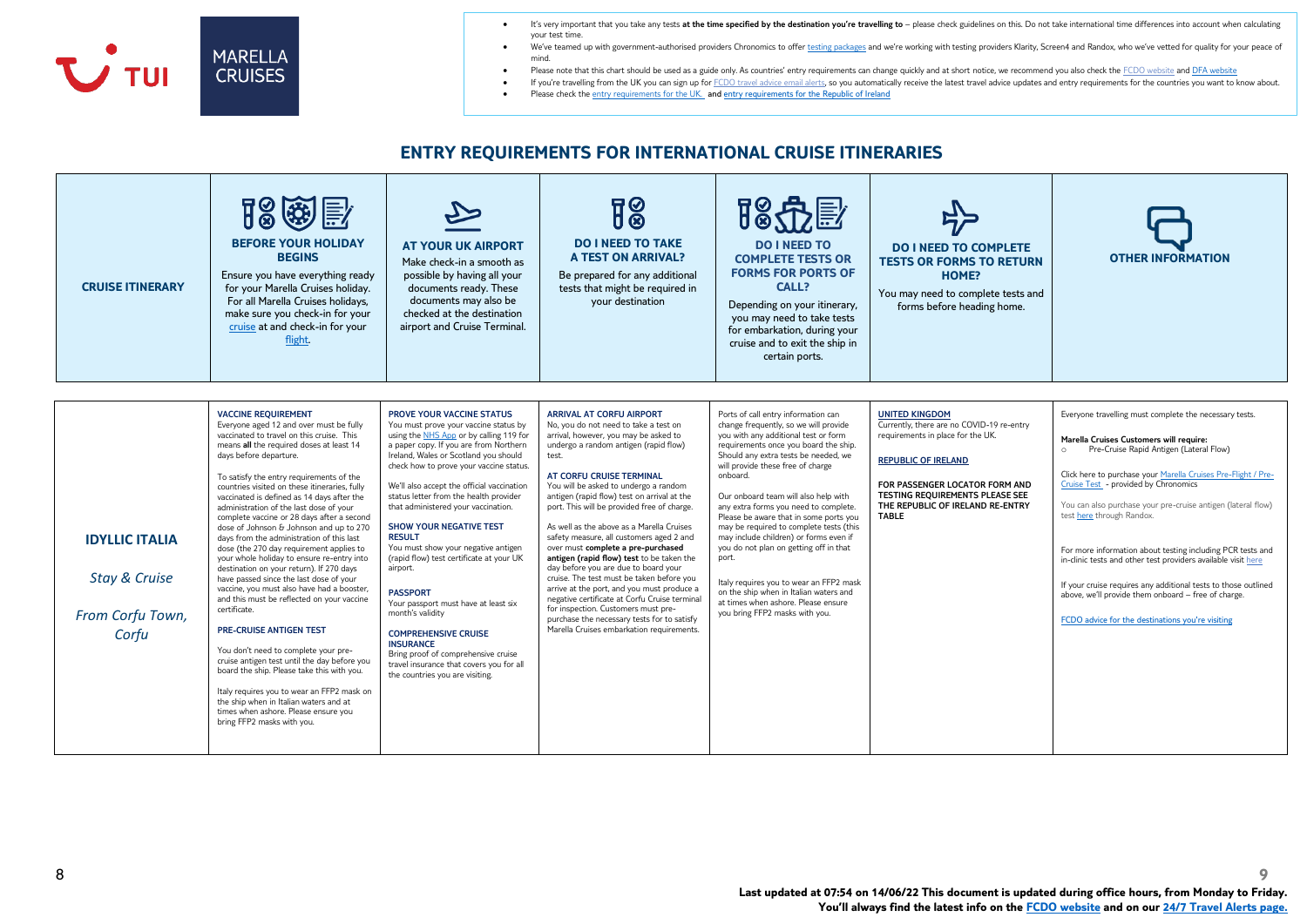

- It's very important that you take any tests **at the time specified by the destination you're travelling to** please check guidelines on this. Do not take international time differences into account when calculating your test time.
- We've teamed up with government-authorised providers Chronomics to offe[r testing packages](https://www.tui.co.uk/destinations/info/covid19-testing) and we're working with testing providers Klarity, Screen4 and Randox, who we've vetted for quality for your peace of mind.
- Please note that this chart should be used as a guide only. As countries' entry requirements can change quickly and at short notice, we recommend you also check th[e FCDO website](https://www.gov.uk/foreign-travel-advice) an[d DFA website](https://www.dfa.ie/)
	- If you're travelling from the UK you can sign up fo[r FCDO travel advice email alerts,](https://eur02.safelinks.protection.outlook.com/?url=https%3A%2F%2Fwww.gov.uk%2Fforeign-travel-advice&data=04%7C01%7CBen.Staff%40tui.co.uk%7Cebcfe79630f04b3a1e4308d8ea073f82%7Ce3e1f65bb973440db61cbc895fc98e28%7C0%7C0%7C637516664139086337%7CUnknown%7CTWFpbGZsb3d8eyJWIjoiMC4wLjAwMDAiLCJQIjoiV2luMzIiLCJBTiI6Ik1haWwiLCJXVCI6Mn0%3D%7C1000&sdata=C0oMsoSNsKs7mZqXeqV4zERR%2FlvTC%2B6MFIqGvVXnj8g%3D&reserved=0) so you automatically receive the latest travel advice updates and entry requirements for the countries you want to know about.
	- Please check th[e entry requirements for the UK.](https://www.tui.co.uk/destinations/info/cruise-entry-requirements) and [entry requirements for the Republic of Ireland](https://www.tuiholidays.ie/f/destinations/info/entry-requirements)

| <b>CRUISE ITINERARY</b>                                                        | 18 的手<br><b>BEFORE YOUR HOLIDAY</b><br><b>BEGINS</b><br>Ensure you have everything ready<br>for your Marella Cruises holiday.<br>For all Marella Cruises holidays,<br>make sure you check-in for your<br>cruise at and check-in for your<br>flight.                                                                                                                                                                                                                                                                                                                                                                                                                                                                                                                                                                                                                                                                                                                                                                                                                                                                                                     | <b>AT YOUR UK AIRPORT</b><br>Make check-in a smooth as<br>possible by having all your<br>documents ready. These<br>documents may also be<br>checked at the destination<br>airport and Cruise Terminal.                                                                                                                                                                                                                                                                                                                                                                                                                                                                                                                                                                                      | $\sqrt{8}$<br><b>DO I NEED TO TAKE</b><br><b>A TEST ON ARRIVAL?</b><br>Be prepared for any additional<br>tests that might be required in<br>your destination                                                                                                                                                                                                                                                                                                                                                                                                                                                                                                                                                                                                                                                                              | <b>DO I NEED TO</b><br><b>COMPLETE TESTS OR</b><br><b>FORMS FOR PORTS OF</b><br>CALL?<br>Depending on your itinerary,<br>you may need to take tests<br>for embarkation, during your<br>cruise and to exit the ship in<br>certain ports.                                                                                                                                                                                                                                                                                                                                                                                                                                                 | <b>DO I NEED TO COMPLETE</b><br><b>TESTS OR FORMS TO RETURN</b><br>HOME?<br>You may need to complete tests and<br>forms before heading home.                                                                                                                   | <b>OTHER INFORMATION</b>                                                                                                                                                                                                                                                                                                                                                                                                                                                                                                                                                                                                                                                  |
|--------------------------------------------------------------------------------|---------------------------------------------------------------------------------------------------------------------------------------------------------------------------------------------------------------------------------------------------------------------------------------------------------------------------------------------------------------------------------------------------------------------------------------------------------------------------------------------------------------------------------------------------------------------------------------------------------------------------------------------------------------------------------------------------------------------------------------------------------------------------------------------------------------------------------------------------------------------------------------------------------------------------------------------------------------------------------------------------------------------------------------------------------------------------------------------------------------------------------------------------------|---------------------------------------------------------------------------------------------------------------------------------------------------------------------------------------------------------------------------------------------------------------------------------------------------------------------------------------------------------------------------------------------------------------------------------------------------------------------------------------------------------------------------------------------------------------------------------------------------------------------------------------------------------------------------------------------------------------------------------------------------------------------------------------------|-------------------------------------------------------------------------------------------------------------------------------------------------------------------------------------------------------------------------------------------------------------------------------------------------------------------------------------------------------------------------------------------------------------------------------------------------------------------------------------------------------------------------------------------------------------------------------------------------------------------------------------------------------------------------------------------------------------------------------------------------------------------------------------------------------------------------------------------|-----------------------------------------------------------------------------------------------------------------------------------------------------------------------------------------------------------------------------------------------------------------------------------------------------------------------------------------------------------------------------------------------------------------------------------------------------------------------------------------------------------------------------------------------------------------------------------------------------------------------------------------------------------------------------------------|----------------------------------------------------------------------------------------------------------------------------------------------------------------------------------------------------------------------------------------------------------------|---------------------------------------------------------------------------------------------------------------------------------------------------------------------------------------------------------------------------------------------------------------------------------------------------------------------------------------------------------------------------------------------------------------------------------------------------------------------------------------------------------------------------------------------------------------------------------------------------------------------------------------------------------------------------|
| <b>IDYLLIC ITALIA</b><br><b>Stay &amp; Cruise</b><br>From Corfu Town,<br>Corfu | <b>VACCINE REOUIREMENT</b><br>Everyone aged 12 and over must be fully<br>vaccinated to travel on this cruise. This<br>means all the required doses at least 14<br>days before departure.<br>To satisfy the entry requirements of the<br>countries visited on these itineraries, fully<br>vaccinated is defined as 14 days after the<br>administration of the last dose of your<br>complete vaccine or 28 days after a second<br>dose of Johnson & Johnson and up to 270<br>days from the administration of this last<br>dose (the 270 day requirement applies to<br>your whole holiday to ensure re-entry into<br>destination on your return). If 270 days<br>have passed since the last dose of your<br>vaccine, you must also have had a booster,<br>and this must be reflected on your vaccine<br>certificate.<br><b>PRE-CRUISE ANTIGEN TEST</b><br>You don't need to complete your pre-<br>cruise antigen test until the day before you<br>board the ship. Please take this with you.<br>Italy requires you to wear an FFP2 mask on<br>the ship when in Italian waters and at<br>times when ashore. Please ensure you<br>bring FFP2 masks with you. | <b>PROVE YOUR VACCINE STATUS</b><br>You must prove your vaccine status by<br>using the NHS App or by calling 119 for<br>a paper copy. If you are from Northern<br>Ireland, Wales or Scotland you should<br>check how to prove your vaccine status.<br>We'll also accept the official vaccination<br>status letter from the health provider<br>that administered your vaccination.<br><b>SHOW YOUR NEGATIVE TEST</b><br><b>RESULT</b><br>You must show your negative antigen<br>(rapid flow) test certificate at your UK<br>airport.<br><b>PASSPORT</b><br>Your passport must have at least six<br>month's validity<br><b>COMPREHENSIVE CRUISE</b><br><b>INSURANCE</b><br>Bring proof of comprehensive cruise<br>travel insurance that covers you for all<br>the countries you are visiting. | <b>ARRIVAL AT CORFU AIRPORT</b><br>No, you do not need to take a test on<br>arrival, however, you may be asked to<br>undergo a random antigen (rapid flow)<br>test.<br>AT CORFU CRUISE TERMINAL<br>You will be asked to undergo a random<br>antigen (rapid flow) test on arrival at the<br>port. This will be provided free of charge.<br>As well as the above as a Marella Cruises<br>safety measure, all customers aged 2 and<br>over must complete a pre-purchased<br>antigen (rapid flow) test to be taken the<br>day before you are due to board your<br>cruise. The test must be taken before you<br>arrive at the port, and you must produce a<br>negative certificate at Corfu Cruise terminal<br>for inspection. Customers must pre-<br>purchase the necessary tests for to satisfy<br>Marella Cruises embarkation requirements. | Ports of call entry information can<br>change frequently, so we will provide<br>you with any additional test or form<br>requirements once you board the ship.<br>Should any extra tests be needed, we<br>will provide these free of charge<br>onboard.<br>Our onboard team will also help with<br>any extra forms you need to complete.<br>Please be aware that in some ports you<br>may be required to complete tests (this<br>may include children) or forms even if<br>you do not plan on getting off in that<br>port.<br>Italy requires you to wear an FFP2 mask<br>on the ship when in Italian waters and<br>at times when ashore. Please ensure<br>you bring FFP2 masks with you. | <b>UNITED KINGDOM</b><br>Currently, there are no COVID-19 re-entry<br>requirements in place for the UK.<br><b>REPUBLIC OF IRELAND</b><br>FOR PASSENGER LOCATOR FORM AND<br>TESTING REQUIREMENTS PLEASE SEE<br>THE REPUBLIC OF IRELAND RE-ENTRY<br><b>TABLE</b> | Everyone travelling must complete the necessary tests.<br>Marella Cruises Customers will require:<br>Pre-Cruise Rapid Antigen (Lateral Flow)<br>$\circ$<br>Click here to purchase your Marella Cruises Pre-Flight / Pre-<br>Cruise Test - provided by Chronomics<br>You can also purchase your pre-cruise antigen (lateral flow)<br>test here through Randox.<br>For more information about testing including PCR tests and<br>in-clinic tests and other test providers available visit here<br>If your cruise requires any additional tests to those outlined<br>above, we'll provide them onboard - free of charge.<br>FCDO advice for the destinations you're visiting |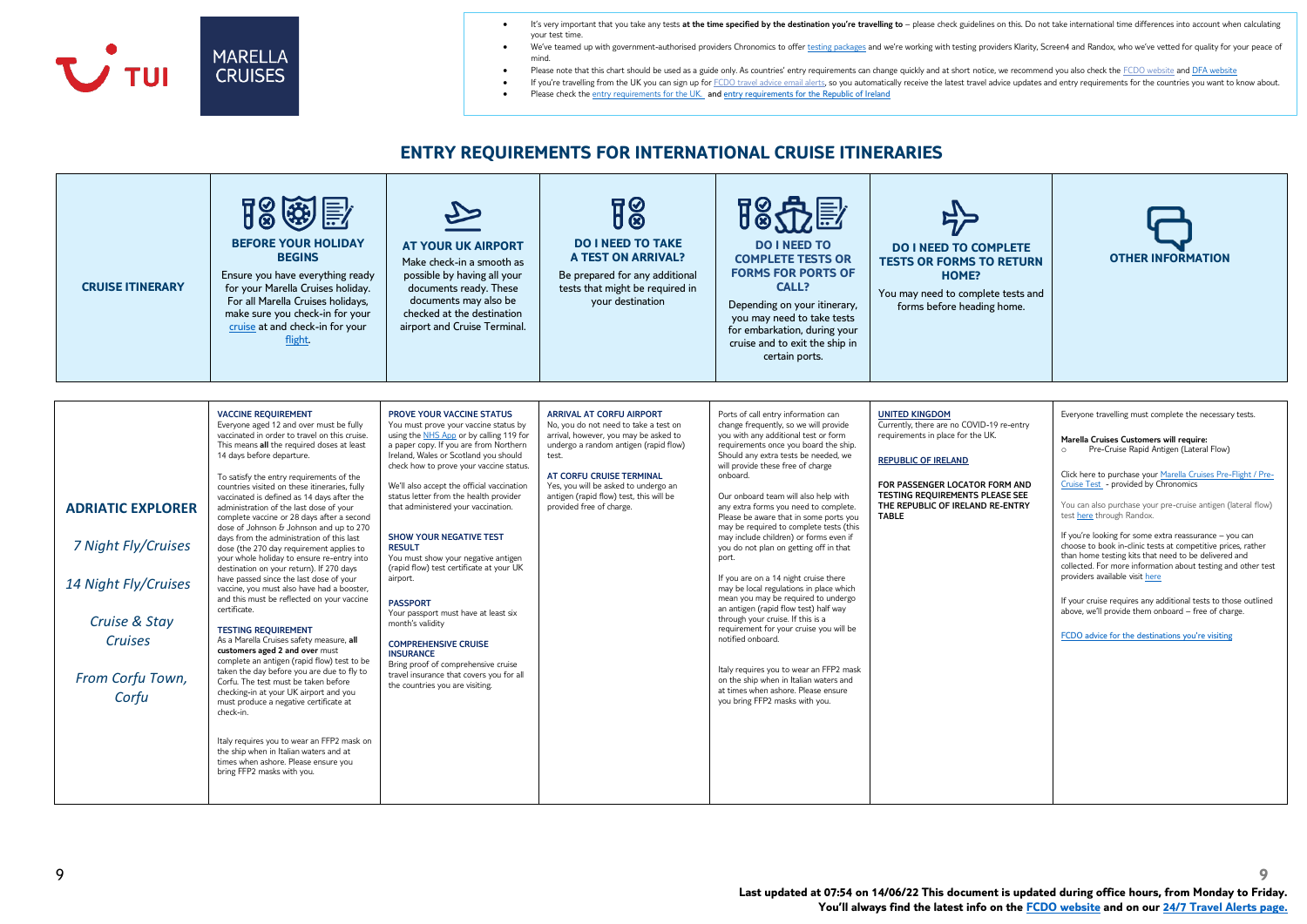

- It's very important that you take any tests **at the time specified by the destination you're travelling to** please check guidelines on this. Do not take international time differences into account when calculating your test time.
- We've teamed up with government-authorised providers Chronomics to offe[r testing packages](https://www.tui.co.uk/destinations/info/covid19-testing) and we're working with testing providers Klarity, Screen4 and Randox, who we've vetted for quality for your peace of mind.
- Please note that this chart should be used as a guide only. As countries' entry requirements can change quickly and at short notice, we recommend you also check th[e FCDO website](https://www.gov.uk/foreign-travel-advice) an[d DFA website](https://www.dfa.ie/)
	- If you're travelling from the UK you can sign up fo[r FCDO travel advice email alerts,](https://eur02.safelinks.protection.outlook.com/?url=https%3A%2F%2Fwww.gov.uk%2Fforeign-travel-advice&data=04%7C01%7CBen.Staff%40tui.co.uk%7Cebcfe79630f04b3a1e4308d8ea073f82%7Ce3e1f65bb973440db61cbc895fc98e28%7C0%7C0%7C637516664139086337%7CUnknown%7CTWFpbGZsb3d8eyJWIjoiMC4wLjAwMDAiLCJQIjoiV2luMzIiLCJBTiI6Ik1haWwiLCJXVCI6Mn0%3D%7C1000&sdata=C0oMsoSNsKs7mZqXeqV4zERR%2FlvTC%2B6MFIqGvVXnj8g%3D&reserved=0) so you automatically receive the latest travel advice updates and entry requirements for the countries you want to know about.
	- Please check th[e entry requirements for the UK.](https://www.tui.co.uk/destinations/info/cruise-entry-requirements) and [entry requirements for the Republic of Ireland](https://www.tuiholidays.ie/f/destinations/info/entry-requirements)

| <b>CRUISE ITINERARY</b>                                                                                                                 | 18 的手<br><b>BEFORE YOUR HOLIDAY</b><br><b>BEGINS</b><br>Ensure you have everything ready<br>for your Marella Cruises holiday.<br>For all Marella Cruises holidays,<br>make sure you check-in for your<br>cruise at and check-in for your<br>flight.                                                                                                                                                                                                                                                                                                                                                                                                                                                                                                                                                                                                                                                                                                                                                                                                                                                                                                                                                                                                                                                                                        | <b>AT YOUR UK AIRPORT</b><br>Make check-in a smooth as<br>possible by having all your<br>documents ready. These<br>documents may also be<br>checked at the destination<br>airport and Cruise Terminal.                                                                                                                                                                                                                                                                                                                                                                                                                                                                                                                                                                                      | 18<br><b>DO I NEED TO TAKE</b><br><b>A TEST ON ARRIVAL?</b><br>Be prepared for any additional<br>tests that might be required in<br>your destination                                                                                                                                                           | 隐免屋<br><b>DO I NEED TO</b><br><b>COMPLETE TESTS OR</b><br><b>FORMS FOR PORTS OF</b><br>CALL?<br>Depending on your itinerary,<br>you may need to take tests<br>for embarkation, during your<br>cruise and to exit the ship in<br>certain ports.                                                                                                                                                                                                                                                                                                                                                                                                                                                                                                                                                                                                                                                                                                                   | <b>DO I NEED TO COMPLETE</b><br><b>TESTS OR FORMS TO RETURN</b><br>HOME?<br>You may need to complete tests and<br>forms before heading home.                                                                                                                   | <b>OTHER INFORMATION</b>                                                                                                                                                                                                                                                                                                                                                                                                                                                                                                                                                                                                                                                                                                                                                                                                       |
|-----------------------------------------------------------------------------------------------------------------------------------------|--------------------------------------------------------------------------------------------------------------------------------------------------------------------------------------------------------------------------------------------------------------------------------------------------------------------------------------------------------------------------------------------------------------------------------------------------------------------------------------------------------------------------------------------------------------------------------------------------------------------------------------------------------------------------------------------------------------------------------------------------------------------------------------------------------------------------------------------------------------------------------------------------------------------------------------------------------------------------------------------------------------------------------------------------------------------------------------------------------------------------------------------------------------------------------------------------------------------------------------------------------------------------------------------------------------------------------------------|---------------------------------------------------------------------------------------------------------------------------------------------------------------------------------------------------------------------------------------------------------------------------------------------------------------------------------------------------------------------------------------------------------------------------------------------------------------------------------------------------------------------------------------------------------------------------------------------------------------------------------------------------------------------------------------------------------------------------------------------------------------------------------------------|----------------------------------------------------------------------------------------------------------------------------------------------------------------------------------------------------------------------------------------------------------------------------------------------------------------|------------------------------------------------------------------------------------------------------------------------------------------------------------------------------------------------------------------------------------------------------------------------------------------------------------------------------------------------------------------------------------------------------------------------------------------------------------------------------------------------------------------------------------------------------------------------------------------------------------------------------------------------------------------------------------------------------------------------------------------------------------------------------------------------------------------------------------------------------------------------------------------------------------------------------------------------------------------|----------------------------------------------------------------------------------------------------------------------------------------------------------------------------------------------------------------------------------------------------------------|--------------------------------------------------------------------------------------------------------------------------------------------------------------------------------------------------------------------------------------------------------------------------------------------------------------------------------------------------------------------------------------------------------------------------------------------------------------------------------------------------------------------------------------------------------------------------------------------------------------------------------------------------------------------------------------------------------------------------------------------------------------------------------------------------------------------------------|
| <b>ADRIATIC EXPLORER</b><br>7 Night Fly/Cruises<br>14 Night Fly/Cruises<br>Cruise & Stay<br><b>Cruises</b><br>From Corfu Town,<br>Corfu | <b>VACCINE REQUIREMENT</b><br>Everyone aged 12 and over must be fully<br>vaccinated in order to travel on this cruise.<br>This means all the required doses at least<br>14 days before departure.<br>To satisfy the entry requirements of the<br>countries visited on these itineraries, fully<br>vaccinated is defined as 14 days after the<br>administration of the last dose of your<br>complete vaccine or 28 days after a second<br>dose of Johnson & Johnson and up to 270<br>days from the administration of this last<br>dose (the 270 day requirement applies to<br>your whole holiday to ensure re-entry into<br>destination on your return). If 270 days<br>have passed since the last dose of your<br>vaccine, you must also have had a booster,<br>and this must be reflected on your vaccine<br>certificate.<br><b>TESTING REOUIREMENT</b><br>As a Marella Cruises safety measure, all<br>customers aged 2 and over must<br>complete an antigen (rapid flow) test to be<br>taken the day before you are due to fly to<br>Corfu. The test must be taken before<br>checking-in at your UK airport and you<br>must produce a negative certificate at<br>check-in.<br>Italy requires you to wear an FFP2 mask on<br>the ship when in Italian waters and at<br>times when ashore. Please ensure you<br>bring FFP2 masks with you. | <b>PROVE YOUR VACCINE STATUS</b><br>You must prove your vaccine status by<br>using the NHS App or by calling 119 for<br>a paper copy. If you are from Northern<br>Ireland, Wales or Scotland you should<br>check how to prove your vaccine status.<br>We'll also accept the official vaccination<br>status letter from the health provider<br>that administered your vaccination.<br><b>SHOW YOUR NEGATIVE TEST</b><br><b>RESULT</b><br>You must show your negative antigen<br>(rapid flow) test certificate at your UK<br>airport.<br><b>PASSPORT</b><br>Your passport must have at least six<br>month's validity<br><b>COMPREHENSIVE CRUISE</b><br><b>INSURANCE</b><br>Bring proof of comprehensive cruise<br>travel insurance that covers you for all<br>the countries you are visiting. | <b>ARRIVAL AT CORFU AIRPORT</b><br>No, you do not need to take a test on<br>arrival, however, you may be asked to<br>undergo a random antigen (rapid flow)<br>test.<br>AT CORFU CRUISE TERMINAL<br>Yes, you will be asked to undergo an<br>antigen (rapid flow) test, this will be<br>provided free of charge. | Ports of call entry information can<br>change frequently, so we will provide<br>you with any additional test or form<br>requirements once you board the ship.<br>Should any extra tests be needed, we<br>will provide these free of charge<br>onboard.<br>Our onboard team will also help with<br>any extra forms you need to complete.<br>Please be aware that in some ports you<br>may be required to complete tests (this<br>may include children) or forms even if<br>you do not plan on getting off in that<br>port.<br>If you are on a 14 night cruise there<br>may be local regulations in place which<br>mean you may be required to undergo<br>an antigen (rapid flow test) half way<br>through your cruise. If this is a<br>requirement for your cruise you will be<br>notified onboard.<br>Italy requires you to wear an FFP2 mask<br>on the ship when in Italian waters and<br>at times when ashore. Please ensure<br>you bring FFP2 masks with you. | <b>UNITED KINGDOM</b><br>Currently, there are no COVID-19 re-entry<br>requirements in place for the UK.<br><b>REPUBLIC OF IRELAND</b><br>FOR PASSENGER LOCATOR FORM AND<br>TESTING REQUIREMENTS PLEASE SEE<br>THE REPUBLIC OF IRELAND RE-ENTRY<br><b>TABLE</b> | Everyone travelling must complete the necessary tests.<br>Marella Cruises Customers will require:<br>Pre-Cruise Rapid Antigen (Lateral Flow)<br>$\circ$<br>Click here to purchase your Marella Cruises Pre-Flight / Pre-<br>Cruise Test - provided by Chronomics<br>You can also purchase your pre-cruise antigen (lateral flow)<br>test here through Randox.<br>If you're looking for some extra reassurance - you can<br>choose to book in-clinic tests at competitive prices, rather<br>than home testing kits that need to be delivered and<br>collected. For more information about testing and other test<br>providers available visit here<br>If your cruise requires any additional tests to those outlined<br>above, we'll provide them onboard - free of charge.<br>FCDO advice for the destinations you're visiting |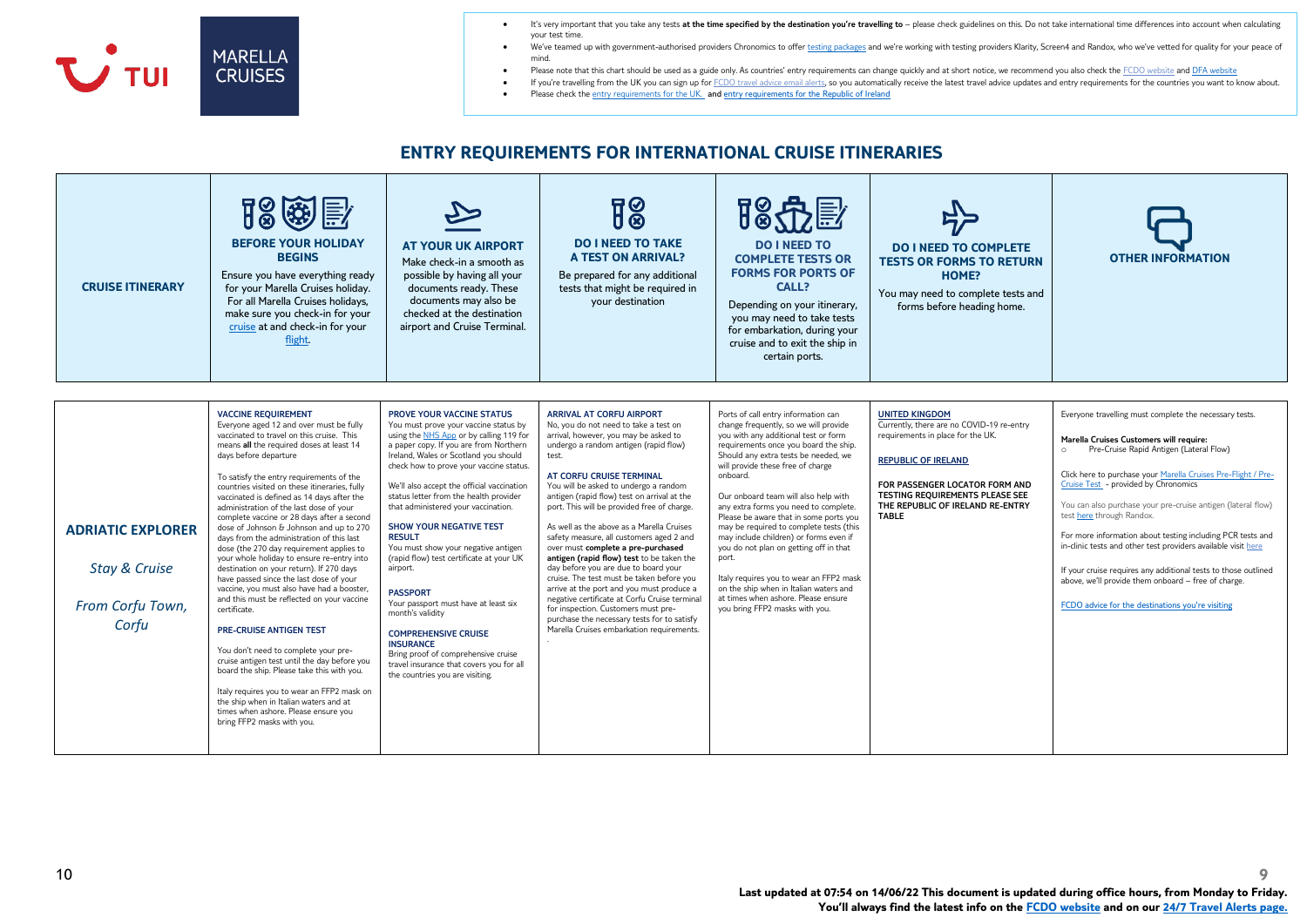

- It's very important that you take any tests **at the time specified by the destination you're travelling to** please check guidelines on this. Do not take international time differences into account when calculating your test time.
- We've teamed up with government-authorised providers Chronomics to offe[r testing packages](https://www.tui.co.uk/destinations/info/covid19-testing) and we're working with testing providers Klarity, Screen4 and Randox, who we've vetted for quality for your peace of mind.
- Please note that this chart should be used as a guide only. As countries' entry requirements can change quickly and at short notice, we recommend you also check th[e FCDO website](https://www.gov.uk/foreign-travel-advice) an[d DFA website](https://www.dfa.ie/)
	- If you're travelling from the UK you can sign up fo[r FCDO travel advice email alerts,](https://eur02.safelinks.protection.outlook.com/?url=https%3A%2F%2Fwww.gov.uk%2Fforeign-travel-advice&data=04%7C01%7CBen.Staff%40tui.co.uk%7Cebcfe79630f04b3a1e4308d8ea073f82%7Ce3e1f65bb973440db61cbc895fc98e28%7C0%7C0%7C637516664139086337%7CUnknown%7CTWFpbGZsb3d8eyJWIjoiMC4wLjAwMDAiLCJQIjoiV2luMzIiLCJBTiI6Ik1haWwiLCJXVCI6Mn0%3D%7C1000&sdata=C0oMsoSNsKs7mZqXeqV4zERR%2FlvTC%2B6MFIqGvVXnj8g%3D&reserved=0) so you automatically receive the latest travel advice updates and entry requirements for the countries you want to know about.
	- Please check th[e entry requirements for the UK.](https://www.tui.co.uk/destinations/info/cruise-entry-requirements) and [entry requirements for the Republic of Ireland](https://www.tuiholidays.ie/f/destinations/info/entry-requirements)

| <b>CRUISE ITINERARY</b>                                                           | 18@图<br><b>BEFORE YOUR HOLIDAY</b><br><b>BEGINS</b><br>Ensure you have everything ready<br>for your Marella Cruises holiday.<br>For all Marella Cruises holidays,<br>make sure you check-in for your<br>cruise at and check-in for your<br>flight.                                                                                                                                                                                                                                                                                                                                                                                                                                                                                                                                                                                                                                                                                                                                                                                                                                                                                                     | <b>AT YOUR UK AIRPORT</b><br>Make check-in a smooth as<br>possible by having all your<br>documents ready. These<br>documents may also be<br>checked at the destination<br>airport and Cruise Terminal.                                                                                                                                                                                                                                                                                                                                                                                                                                                                                                                                                                                      | $7\%$<br><b>DO I NEED TO TAKE</b><br><b>A TEST ON ARRIVAL?</b><br>Be prepared for any additional<br>tests that might be required in<br>your destination                                                                                                                                                                                                                                                                                                                                                                                                                                                                                                                                                                                                                                                                                  | <b>DO I NEED TO</b><br><b>COMPLETE TESTS OR</b><br><b>FORMS FOR PORTS OF</b><br>CALL?<br>Depending on your itinerary,<br>you may need to take tests<br>for embarkation, during your<br>cruise and to exit the ship in<br>certain ports.                                                                                                                                                                                                                                                                                                                                                                                                                                                 | <b>DO I NEED TO COMPLETE</b><br><b>TESTS OR FORMS TO RETURN</b><br>HOME?<br>You may need to complete tests and<br>forms before heading home.                                                                                                                   | <b>OTHER INFORMATION</b>                                                                                                                                                                                                                                                                                                                                                                                                                                                                                                                                                                                                                                                  |
|-----------------------------------------------------------------------------------|--------------------------------------------------------------------------------------------------------------------------------------------------------------------------------------------------------------------------------------------------------------------------------------------------------------------------------------------------------------------------------------------------------------------------------------------------------------------------------------------------------------------------------------------------------------------------------------------------------------------------------------------------------------------------------------------------------------------------------------------------------------------------------------------------------------------------------------------------------------------------------------------------------------------------------------------------------------------------------------------------------------------------------------------------------------------------------------------------------------------------------------------------------|---------------------------------------------------------------------------------------------------------------------------------------------------------------------------------------------------------------------------------------------------------------------------------------------------------------------------------------------------------------------------------------------------------------------------------------------------------------------------------------------------------------------------------------------------------------------------------------------------------------------------------------------------------------------------------------------------------------------------------------------------------------------------------------------|------------------------------------------------------------------------------------------------------------------------------------------------------------------------------------------------------------------------------------------------------------------------------------------------------------------------------------------------------------------------------------------------------------------------------------------------------------------------------------------------------------------------------------------------------------------------------------------------------------------------------------------------------------------------------------------------------------------------------------------------------------------------------------------------------------------------------------------|-----------------------------------------------------------------------------------------------------------------------------------------------------------------------------------------------------------------------------------------------------------------------------------------------------------------------------------------------------------------------------------------------------------------------------------------------------------------------------------------------------------------------------------------------------------------------------------------------------------------------------------------------------------------------------------------|----------------------------------------------------------------------------------------------------------------------------------------------------------------------------------------------------------------------------------------------------------------|---------------------------------------------------------------------------------------------------------------------------------------------------------------------------------------------------------------------------------------------------------------------------------------------------------------------------------------------------------------------------------------------------------------------------------------------------------------------------------------------------------------------------------------------------------------------------------------------------------------------------------------------------------------------------|
| <b>ADRIATIC EXPLORER</b><br><b>Stay &amp; Cruise</b><br>From Corfu Town,<br>Corfu | <b>VACCINE REOUIREMENT</b><br>Everyone aged 12 and over must be fully<br>vaccinated to travel on this cruise. This<br>means all the required doses at least 14<br>days before departure<br>To satisfy the entry requirements of the<br>countries visited on these itineraries, fully<br>vaccinated is defined as 14 days after the<br>administration of the last dose of your<br>complete vaccine or 28 days after a second<br>dose of Johnson & Johnson and up to 270<br>days from the administration of this last<br>dose (the 270 day requirement applies to<br>your whole holiday to ensure re-entry into<br>destination on your return). If 270 days<br>have passed since the last dose of your<br>vaccine, you must also have had a booster,<br>and this must be reflected on your vaccine<br>certificate.<br><b>PRE-CRUISE ANTIGEN TEST</b><br>You don't need to complete your pre-<br>cruise antigen test until the day before you<br>board the ship. Please take this with you.<br>Italy requires you to wear an FFP2 mask on<br>the ship when in Italian waters and at<br>times when ashore. Please ensure you<br>bring FFP2 masks with you. | <b>PROVE YOUR VACCINE STATUS</b><br>You must prove your vaccine status by<br>using the NHS App or by calling 119 for<br>a paper copy. If you are from Northern<br>Ireland, Wales or Scotland you should<br>check how to prove your vaccine status.<br>We'll also accept the official vaccination<br>status letter from the health provider<br>that administered your vaccination.<br><b>SHOW YOUR NEGATIVE TEST</b><br><b>RESULT</b><br>You must show your negative antigen<br>(rapid flow) test certificate at your UK<br>airport.<br><b>PASSPORT</b><br>Your passport must have at least six<br>month's validity<br><b>COMPREHENSIVE CRUISE</b><br><b>INSURANCE</b><br>Bring proof of comprehensive cruise<br>travel insurance that covers you for all<br>the countries you are visiting. | <b>ARRIVAL AT CORFU AIRPORT</b><br>No, you do not need to take a test on<br>arrival, however, you may be asked to<br>undergo a random antigen (rapid flow)<br>test.<br>AT CORFU CRUISE TERMINAL<br>You will be asked to undergo a random<br>antigen (rapid flow) test on arrival at the<br>port. This will be provided free of charge.<br>As well as the above as a Marella Cruises<br>safety measure, all customers aged 2 and<br>over must complete a pre-purchased<br>antigen (rapid flow) test to be taken the<br>day before you are due to board your<br>cruise. The test must be taken before you<br>arrive at the port and you must produce a<br>negative certificate at Corfu Cruise terminal<br>for inspection. Customers must pre-<br>purchase the necessary tests for to satisfy<br>Marella Cruises embarkation requirements. | Ports of call entry information can<br>change frequently, so we will provide<br>you with any additional test or form<br>requirements once you board the ship.<br>Should any extra tests be needed, we<br>will provide these free of charge<br>onboard.<br>Our onboard team will also help with<br>any extra forms you need to complete.<br>Please be aware that in some ports you<br>may be required to complete tests (this<br>may include children) or forms even if<br>you do not plan on getting off in that<br>port.<br>Italy requires you to wear an FFP2 mask<br>on the ship when in Italian waters and<br>at times when ashore. Please ensure<br>you bring FFP2 masks with you. | <b>UNITED KINGDOM</b><br>Currently, there are no COVID-19 re-entry<br>requirements in place for the UK.<br><b>REPUBLIC OF IRELAND</b><br>FOR PASSENGER LOCATOR FORM AND<br>TESTING REQUIREMENTS PLEASE SEE<br>THE REPUBLIC OF IRELAND RE-ENTRY<br><b>TABLE</b> | Everyone travelling must complete the necessary tests.<br>Marella Cruises Customers will require:<br>Pre-Cruise Rapid Antigen (Lateral Flow)<br>$\circ$<br>Click here to purchase your Marella Cruises Pre-Flight / Pre-<br>Cruise Test - provided by Chronomics<br>You can also purchase your pre-cruise antigen (lateral flow)<br>test here through Randox.<br>For more information about testing including PCR tests and<br>in-clinic tests and other test providers available visit here<br>If your cruise requires any additional tests to those outlined<br>above, we'll provide them onboard - free of charge.<br>FCDO advice for the destinations you're visiting |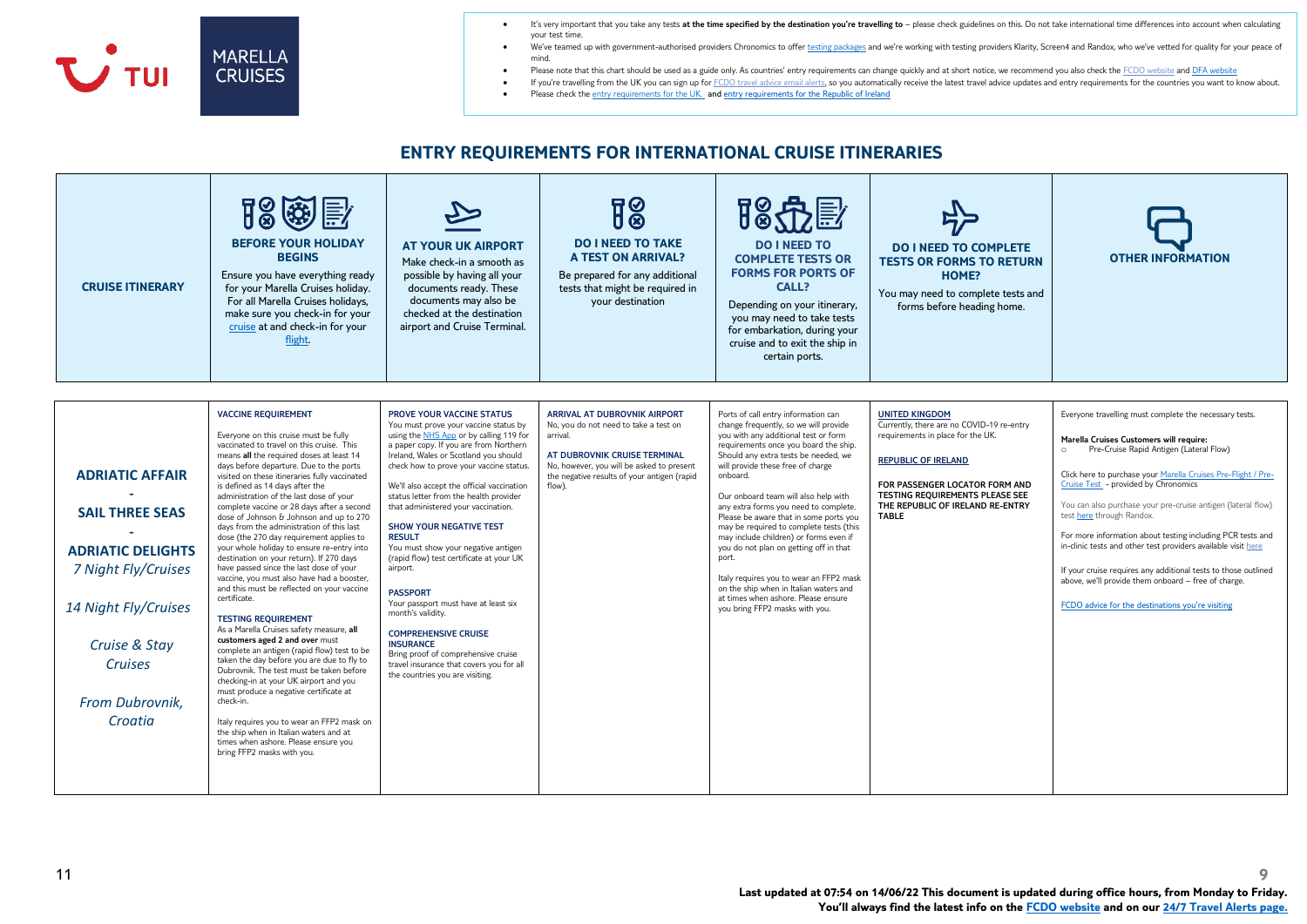

- It's very important that you take any tests **at the time specified by the destination you're travelling to** please check guidelines on this. Do not take international time differences into account when calculating your test time.
- We've teamed up with government-authorised providers Chronomics to offe[r testing packages](https://www.tui.co.uk/destinations/info/covid19-testing) and we're working with testing providers Klarity, Screen4 and Randox, who we've vetted for quality for your peace of mind.
- Please note that this chart should be used as a guide only. As countries' entry requirements can change quickly and at short notice, we recommend you also check th[e FCDO website](https://www.gov.uk/foreign-travel-advice) an[d DFA website](https://www.dfa.ie/)
	- If you're travelling from the UK you can sign up fo[r FCDO travel advice email alerts,](https://eur02.safelinks.protection.outlook.com/?url=https%3A%2F%2Fwww.gov.uk%2Fforeign-travel-advice&data=04%7C01%7CBen.Staff%40tui.co.uk%7Cebcfe79630f04b3a1e4308d8ea073f82%7Ce3e1f65bb973440db61cbc895fc98e28%7C0%7C0%7C637516664139086337%7CUnknown%7CTWFpbGZsb3d8eyJWIjoiMC4wLjAwMDAiLCJQIjoiV2luMzIiLCJBTiI6Ik1haWwiLCJXVCI6Mn0%3D%7C1000&sdata=C0oMsoSNsKs7mZqXeqV4zERR%2FlvTC%2B6MFIqGvVXnj8g%3D&reserved=0) so you automatically receive the latest travel advice updates and entry requirements for the countries you want to know about.
	- Please check th[e entry requirements for the UK.](https://www.tui.co.uk/destinations/info/cruise-entry-requirements) and [entry requirements for the Republic of Ireland](https://www.tuiholidays.ie/f/destinations/info/entry-requirements)

| <b>CRUISE ITINERARY</b>                                                                                                                                                                      | 18 晚 下<br><b>BEFORE YOUR HOLIDAY</b><br><b>BEGINS</b><br>Ensure you have everything ready<br>for your Marella Cruises holiday.<br>For all Marella Cruises holidays,<br>make sure you check-in for your<br>cruise at and check-in for your<br>flight.                                                                                                                                                                                                                                                                                                                                                                                                                                                                                                                                                                                                                                                                                                                                                                                                                                                                                                                                                                                                                                          | <b>AT YOUR UK AIRPORT</b><br>Make check-in a smooth as<br>possible by having all your<br>documents ready. These<br>documents may also be<br>checked at the destination<br>airport and Cruise Terminal.                                                                                                                                                                                                                                                                                                                                                                                                                                                                                                                                                                                       | $\overline{\rm H}{}^{\bigotimes\!}$<br><b>DO I NEED TO TAKE</b><br><b>A TEST ON ARRIVAL?</b><br>Be prepared for any additional<br>tests that might be required in<br>your destination                                          | 隐免屋<br><b>DO I NEED TO</b><br><b>COMPLETE TESTS OR</b><br><b>FORMS FOR PORTS OF</b><br>CALL?<br>Depending on your itinerary,<br>you may need to take tests<br>for embarkation, during your<br>cruise and to exit the ship in<br>certain ports.                                                                                                                                                                                                                                                                                                                                                                                                                                          | <b>DO I NEED TO COMPLETE</b><br><b>TESTS OR FORMS TO RETURN</b><br>HOME?<br>You may need to complete tests and<br>forms before heading home.                                                                                                                   | <b>OTHER INFORMATION</b>                                                                                                                                                                                                                                                                                                                                                                                                                                                                                                                                                                                                                                                  |
|----------------------------------------------------------------------------------------------------------------------------------------------------------------------------------------------|-----------------------------------------------------------------------------------------------------------------------------------------------------------------------------------------------------------------------------------------------------------------------------------------------------------------------------------------------------------------------------------------------------------------------------------------------------------------------------------------------------------------------------------------------------------------------------------------------------------------------------------------------------------------------------------------------------------------------------------------------------------------------------------------------------------------------------------------------------------------------------------------------------------------------------------------------------------------------------------------------------------------------------------------------------------------------------------------------------------------------------------------------------------------------------------------------------------------------------------------------------------------------------------------------|----------------------------------------------------------------------------------------------------------------------------------------------------------------------------------------------------------------------------------------------------------------------------------------------------------------------------------------------------------------------------------------------------------------------------------------------------------------------------------------------------------------------------------------------------------------------------------------------------------------------------------------------------------------------------------------------------------------------------------------------------------------------------------------------|--------------------------------------------------------------------------------------------------------------------------------------------------------------------------------------------------------------------------------|-----------------------------------------------------------------------------------------------------------------------------------------------------------------------------------------------------------------------------------------------------------------------------------------------------------------------------------------------------------------------------------------------------------------------------------------------------------------------------------------------------------------------------------------------------------------------------------------------------------------------------------------------------------------------------------------|----------------------------------------------------------------------------------------------------------------------------------------------------------------------------------------------------------------------------------------------------------------|---------------------------------------------------------------------------------------------------------------------------------------------------------------------------------------------------------------------------------------------------------------------------------------------------------------------------------------------------------------------------------------------------------------------------------------------------------------------------------------------------------------------------------------------------------------------------------------------------------------------------------------------------------------------------|
| <b>ADRIATIC AFFAIR</b><br><b>SAIL THREE SEAS</b><br><b>ADRIATIC DELIGHTS</b><br>7 Night Fly/Cruises<br>14 Night Fly/Cruises<br>Cruise & Stay<br><b>Cruises</b><br>From Dubrovnik,<br>Croatia | <b>VACCINE REQUIREMENT</b><br>Everyone on this cruise must be fully<br>vaccinated to travel on this cruise. This<br>means all the required doses at least 14<br>days before departure. Due to the ports<br>visited on these itineraries fully vaccinated<br>is defined as 14 days after the<br>administration of the last dose of your<br>complete vaccine or 28 days after a second<br>dose of Johnson & Johnson and up to 270<br>days from the administration of this last<br>dose (the 270 day requirement applies to<br>your whole holiday to ensure re-entry into<br>destination on your return). If 270 days<br>have passed since the last dose of your<br>vaccine, you must also have had a booster,<br>and this must be reflected on your vaccine<br>certificate.<br><b>TESTING REOUIREMENT</b><br>As a Marella Cruises safety measure, all<br>customers aged 2 and over must<br>complete an antigen (rapid flow) test to be<br>taken the day before you are due to fly to<br>Dubrovnik. The test must be taken before<br>checking-in at your UK airport and you<br>must produce a negative certificate at<br>check-in.<br>Italy requires you to wear an FFP2 mask on<br>the ship when in Italian waters and at<br>times when ashore. Please ensure you<br>bring FFP2 masks with you. | <b>PROVE YOUR VACCINE STATUS</b><br>You must prove your vaccine status by<br>using the NHS App or by calling 119 for<br>a paper copy. If you are from Northern<br>Ireland, Wales or Scotland you should<br>check how to prove your vaccine status.<br>We'll also accept the official vaccination<br>status letter from the health provider<br>that administered your vaccination.<br><b>SHOW YOUR NEGATIVE TEST</b><br><b>RESULT</b><br>You must show your negative antigen<br>(rapid flow) test certificate at your UK<br>airport.<br><b>PASSPORT</b><br>Your passport must have at least six<br>month's validity.<br><b>COMPREHENSIVE CRUISE</b><br><b>INSURANCE</b><br>Bring proof of comprehensive cruise<br>travel insurance that covers you for all<br>the countries you are visiting. | <b>ARRIVAL AT DUBROVNIK AIRPORT</b><br>No, you do not need to take a test on<br>arrival.<br>AT DUBROVNIK CRUISE TERMINAL<br>No, however, you will be asked to present<br>the negative results of your antigen (rapid<br>flow). | Ports of call entry information can<br>change frequently, so we will provide<br>you with any additional test or form<br>requirements once you board the ship.<br>Should any extra tests be needed, we<br>will provide these free of charge<br>onboard.<br>Our onboard team will also help with<br>any extra forms you need to complete.<br>Please be aware that in some ports you<br>may be required to complete tests (this<br>may include children) or forms even if<br>you do not plan on getting off in that<br>port.<br>Italy requires you to wear an FFP2 mask<br>on the ship when in Italian waters and<br>at times when ashore. Please ensure<br>you bring FFP2 masks with you. | <b>UNITED KINGDOM</b><br>Currently, there are no COVID-19 re-entry<br>requirements in place for the UK.<br><b>REPUBLIC OF IRELAND</b><br>FOR PASSENGER LOCATOR FORM AND<br>TESTING REQUIREMENTS PLEASE SEE<br>THE REPUBLIC OF IRELAND RE-ENTRY<br><b>TABLE</b> | Everyone travelling must complete the necessary tests.<br>Marella Cruises Customers will require:<br>Pre-Cruise Rapid Antigen (Lateral Flow)<br>$\circ$<br>Click here to purchase your Marella Cruises Pre-Flight / Pre-<br>Cruise Test - provided by Chronomics<br>You can also purchase your pre-cruise antigen (lateral flow)<br>test here through Randox.<br>For more information about testing including PCR tests and<br>in-clinic tests and other test providers available visit here<br>If your cruise requires any additional tests to those outlined<br>above, we'll provide them onboard - free of charge.<br>FCDO advice for the destinations you're visiting |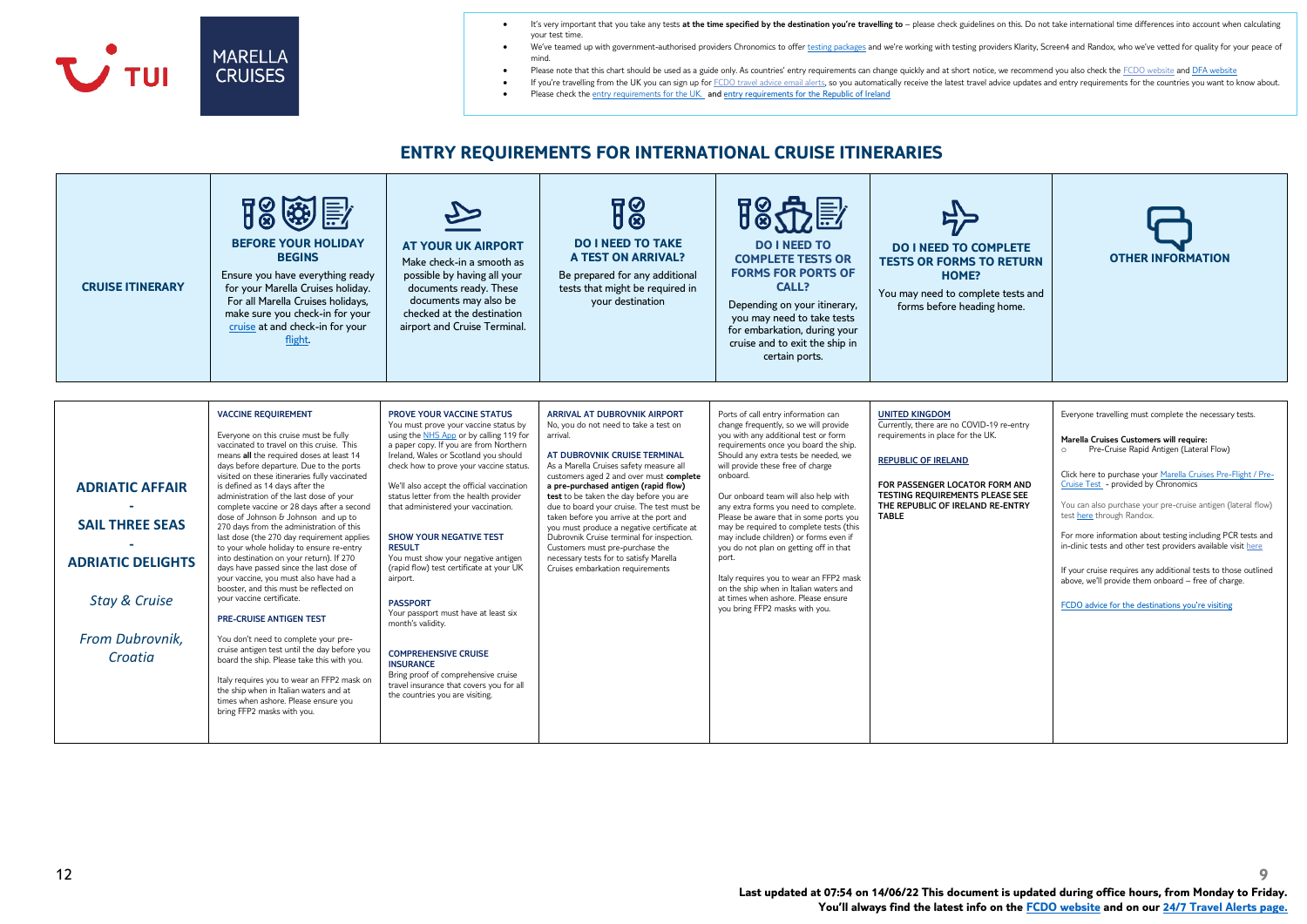

- It's very important that you take any tests at the time specified by the destination you're travelling to please check guidelines on this. Do not take international time differences into account when calculating your test time.
- We've teamed up with government-authorised providers Chronomics to offe[r testing packages](https://www.tui.co.uk/destinations/info/covid19-testing) and we're working with testing providers Klarity, Screen4 and Randox, who we've vetted for quality for your peace of mind.
- Please note that this chart should be used as a guide only. As countries' entry requirements can change quickly and at short notice, we recommend you also check th[e FCDO website](https://www.gov.uk/foreign-travel-advice) an[d DFA website](https://www.dfa.ie/)
	- If you're travelling from the UK you can sign up fo[r FCDO travel advice email alerts,](https://eur02.safelinks.protection.outlook.com/?url=https%3A%2F%2Fwww.gov.uk%2Fforeign-travel-advice&data=04%7C01%7CBen.Staff%40tui.co.uk%7Cebcfe79630f04b3a1e4308d8ea073f82%7Ce3e1f65bb973440db61cbc895fc98e28%7C0%7C0%7C637516664139086337%7CUnknown%7CTWFpbGZsb3d8eyJWIjoiMC4wLjAwMDAiLCJQIjoiV2luMzIiLCJBTiI6Ik1haWwiLCJXVCI6Mn0%3D%7C1000&sdata=C0oMsoSNsKs7mZqXeqV4zERR%2FlvTC%2B6MFIqGvVXnj8g%3D&reserved=0) so you automatically receive the latest travel advice updates and entry requirements for the countries you want to know about.
	- Please check th[e entry requirements for the UK.](https://www.tui.co.uk/destinations/info/cruise-entry-requirements) and [entry requirements for the Republic of Ireland](https://www.tuiholidays.ie/f/destinations/info/entry-requirements)

| <b>CRUISE ITINERARY</b>                                                                                                                | 18的目<br><b>BEFORE YOUR HOLIDAY</b><br><b>BEGINS</b><br>Ensure you have everything ready<br>for your Marella Cruises holiday.<br>For all Marella Cruises holidays,<br>make sure you check-in for your<br>cruise at and check-in for your<br>flight.                                                                                                                                                                                                                                                                                                                                                                                                                                                                                                                                                                                                                                                                                                                                                                                                                                                              | <b>AT YOUR UK AIRPORT</b><br>Make check-in a smooth as<br>possible by having all your<br>documents ready. These<br>documents may also be<br>checked at the destination<br>airport and Cruise Terminal.                                                                                                                                                                                                                                                                                                                                                                                                                                                                                                                                                                                       | $\overline{\rm H}{}^{\bigotimes\!}$<br><b>DO I NEED TO TAKE</b><br><b>A TEST ON ARRIVAL?</b><br>Be prepared for any additional<br>tests that might be required in<br>your destination                                                                                                                                                                                                                                                                                                                                                                                                                  | <b>DO I NEED TO</b><br><b>COMPLETE TESTS OR</b><br><b>FORMS FOR PORTS OF</b><br>CALL?<br>Depending on your itinerary,<br>you may need to take tests<br>for embarkation, during your<br>cruise and to exit the ship in<br>certain ports.                                                                                                                                                                                                                                                                                                                                                                                                                                                 | <b>DO I NEED TO COMPLETE</b><br><b>TESTS OR FORMS TO RETURN</b><br>HOME?<br>You may need to complete tests and<br>forms before heading home.                                                                                                                   | <b>OTHER INFORMATION</b>                                                                                                                                                                                                                                                                                                                                                                                                                                                                                                                                                                                                                                                  |
|----------------------------------------------------------------------------------------------------------------------------------------|-----------------------------------------------------------------------------------------------------------------------------------------------------------------------------------------------------------------------------------------------------------------------------------------------------------------------------------------------------------------------------------------------------------------------------------------------------------------------------------------------------------------------------------------------------------------------------------------------------------------------------------------------------------------------------------------------------------------------------------------------------------------------------------------------------------------------------------------------------------------------------------------------------------------------------------------------------------------------------------------------------------------------------------------------------------------------------------------------------------------|----------------------------------------------------------------------------------------------------------------------------------------------------------------------------------------------------------------------------------------------------------------------------------------------------------------------------------------------------------------------------------------------------------------------------------------------------------------------------------------------------------------------------------------------------------------------------------------------------------------------------------------------------------------------------------------------------------------------------------------------------------------------------------------------|--------------------------------------------------------------------------------------------------------------------------------------------------------------------------------------------------------------------------------------------------------------------------------------------------------------------------------------------------------------------------------------------------------------------------------------------------------------------------------------------------------------------------------------------------------------------------------------------------------|-----------------------------------------------------------------------------------------------------------------------------------------------------------------------------------------------------------------------------------------------------------------------------------------------------------------------------------------------------------------------------------------------------------------------------------------------------------------------------------------------------------------------------------------------------------------------------------------------------------------------------------------------------------------------------------------|----------------------------------------------------------------------------------------------------------------------------------------------------------------------------------------------------------------------------------------------------------------|---------------------------------------------------------------------------------------------------------------------------------------------------------------------------------------------------------------------------------------------------------------------------------------------------------------------------------------------------------------------------------------------------------------------------------------------------------------------------------------------------------------------------------------------------------------------------------------------------------------------------------------------------------------------------|
| <b>ADRIATIC AFFAIR</b><br><b>SAIL THREE SEAS</b><br><b>ADRIATIC DELIGHTS</b><br><b>Stay &amp; Cruise</b><br>From Dubrovnik,<br>Croatia | <b>VACCINE REQUIREMENT</b><br>Everyone on this cruise must be fully<br>vaccinated to travel on this cruise. This<br>means all the required doses at least 14<br>days before departure. Due to the ports<br>visited on these itineraries fully vaccinated<br>is defined as 14 days after the<br>administration of the last dose of your<br>complete vaccine or 28 days after a second<br>dose of Johnson & Johnson and up to<br>270 days from the administration of this<br>last dose (the 270 day requirement applies<br>to your whole holiday to ensure re-entry<br>into destination on your return). If 270<br>days have passed since the last dose of<br>your vaccine, you must also have had a<br>booster, and this must be reflected on<br>your vaccine certificate.<br><b>PRE-CRUISE ANTIGEN TEST</b><br>You don't need to complete your pre-<br>cruise antigen test until the day before you<br>board the ship. Please take this with you.<br>Italy requires you to wear an FFP2 mask or<br>the ship when in Italian waters and at<br>times when ashore. Please ensure you<br>bring FFP2 masks with you. | <b>PROVE YOUR VACCINE STATUS</b><br>You must prove your vaccine status by<br>using the NHS App or by calling 119 for<br>a paper copy. If you are from Northern<br>Ireland, Wales or Scotland you should<br>check how to prove your vaccine status.<br>We'll also accept the official vaccination<br>status letter from the health provider<br>that administered your vaccination.<br><b>SHOW YOUR NEGATIVE TEST</b><br><b>RESULT</b><br>You must show your negative antigen<br>(rapid flow) test certificate at your UK<br>airport.<br><b>PASSPORT</b><br>Your passport must have at least six<br>month's validity.<br><b>COMPREHENSIVE CRUISE</b><br><b>INSURANCE</b><br>Bring proof of comprehensive cruise<br>travel insurance that covers you for all<br>the countries you are visiting. | <b>ARRIVAL AT DUBROVNIK AIRPORT</b><br>No, you do not need to take a test on<br>arrival.<br>AT DUBROVNIK CRUISE TERMINAL<br>As a Marella Cruises safety measure all<br>customers aged 2 and over must complete<br>a pre-purchased antigen (rapid flow)<br>test to be taken the day before you are<br>due to board your cruise. The test must be<br>taken before you arrive at the port and<br>vou must produce a negative certificate at<br>Dubrovnik Cruise terminal for inspection.<br>Customers must pre-purchase the<br>necessary tests for to satisfy Marella<br>Cruises embarkation requirements | Ports of call entry information can<br>change frequently, so we will provide<br>you with any additional test or form<br>requirements once you board the ship.<br>Should any extra tests be needed, we<br>will provide these free of charge<br>onboard.<br>Our onboard team will also help with<br>any extra forms you need to complete.<br>Please be aware that in some ports you<br>may be required to complete tests (this<br>may include children) or forms even if<br>you do not plan on getting off in that<br>port.<br>Italy requires you to wear an FFP2 mask<br>on the ship when in Italian waters and<br>at times when ashore. Please ensure<br>you bring FFP2 masks with you. | <b>UNITED KINGDOM</b><br>Currently, there are no COVID-19 re-entry<br>requirements in place for the UK.<br><b>REPUBLIC OF IRELAND</b><br>FOR PASSENGER LOCATOR FORM AND<br>TESTING REQUIREMENTS PLEASE SEE<br>THE REPUBLIC OF IRELAND RE-ENTRY<br><b>TABLE</b> | Everyone travelling must complete the necessary tests.<br>Marella Cruises Customers will require:<br>Pre-Cruise Rapid Antigen (Lateral Flow)<br>$\circ$<br>Click here to purchase your Marella Cruises Pre-Flight / Pre-<br>Cruise Test - provided by Chronomics<br>You can also purchase your pre-cruise antigen (lateral flow)<br>test here through Randox.<br>For more information about testing including PCR tests and<br>in-clinic tests and other test providers available visit here<br>If your cruise requires any additional tests to those outlined<br>above, we'll provide them onboard - free of charge.<br>FCDO advice for the destinations you're visiting |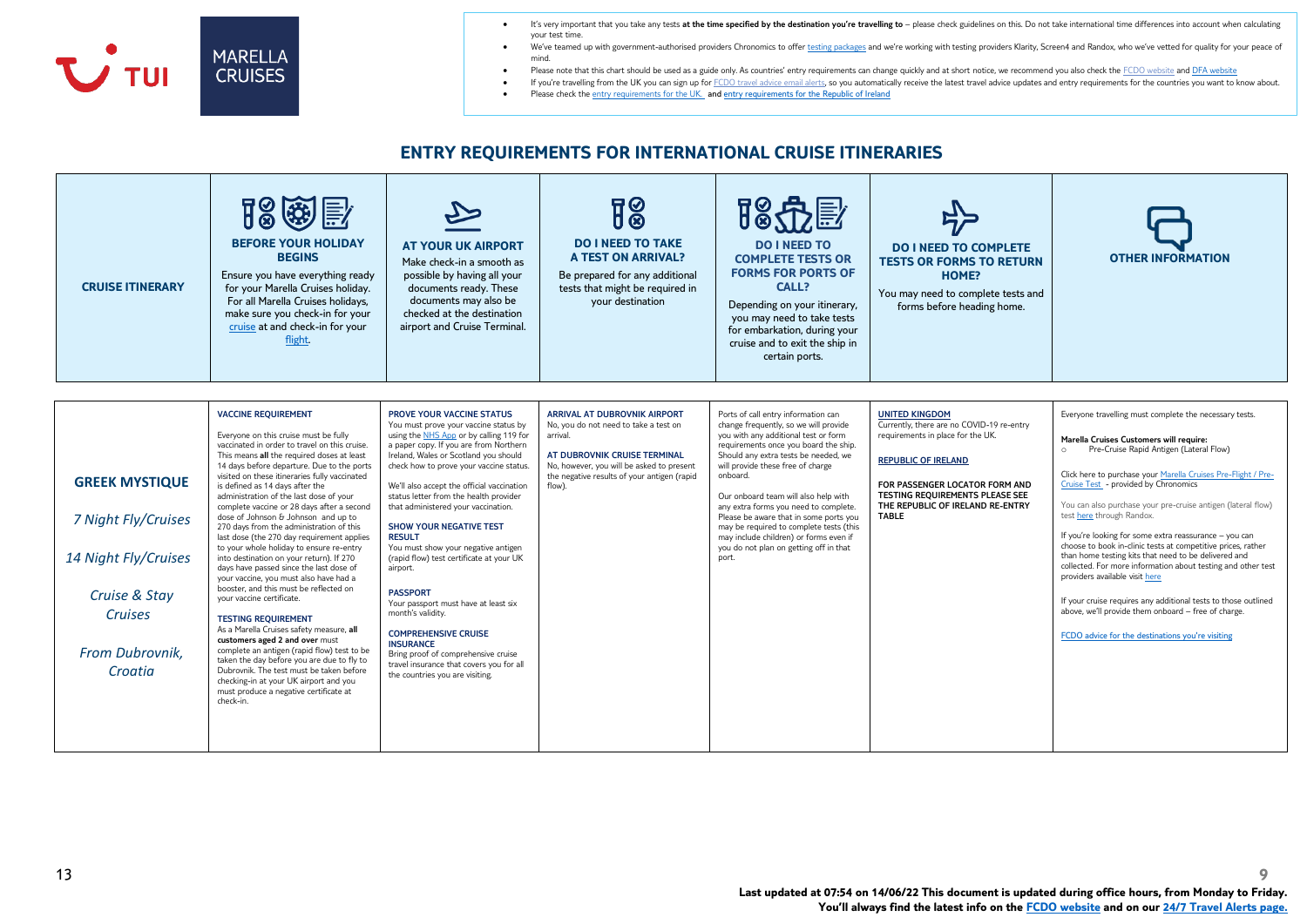

- It's very important that you take any tests **at the time specified by the destination you're travelling to** please check guidelines on this. Do not take international time differences into account when calculating your test time.
- We've teamed up with government-authorised providers Chronomics to offe[r testing packages](https://www.tui.co.uk/destinations/info/covid19-testing) and we're working with testing providers Klarity, Screen4 and Randox, who we've vetted for quality for your peace of mind.
- Please note that this chart should be used as a guide only. As countries' entry requirements can change quickly and at short notice, we recommend you also check th[e FCDO website](https://www.gov.uk/foreign-travel-advice) an[d DFA website](https://www.dfa.ie/)
	- If you're travelling from the UK you can sign up fo[r FCDO travel advice email alerts,](https://eur02.safelinks.protection.outlook.com/?url=https%3A%2F%2Fwww.gov.uk%2Fforeign-travel-advice&data=04%7C01%7CBen.Staff%40tui.co.uk%7Cebcfe79630f04b3a1e4308d8ea073f82%7Ce3e1f65bb973440db61cbc895fc98e28%7C0%7C0%7C637516664139086337%7CUnknown%7CTWFpbGZsb3d8eyJWIjoiMC4wLjAwMDAiLCJQIjoiV2luMzIiLCJBTiI6Ik1haWwiLCJXVCI6Mn0%3D%7C1000&sdata=C0oMsoSNsKs7mZqXeqV4zERR%2FlvTC%2B6MFIqGvVXnj8g%3D&reserved=0) so you automatically receive the latest travel advice updates and entry requirements for the countries you want to know about.
	- Please check th[e entry requirements for the UK.](https://www.tui.co.uk/destinations/info/cruise-entry-requirements) and [entry requirements for the Republic of Ireland](https://www.tuiholidays.ie/f/destinations/info/entry-requirements)

| <b>CRUISE ITINERARY</b>                                                                                                               | 18晚<br><b>BEFORE YOUR HOLIDAY</b><br><b>BEGINS</b><br>Ensure you have everything ready<br>for your Marella Cruises holiday.<br>For all Marella Cruises holidays,<br>make sure you check-in for your<br>cruise at and check-in for your<br>flight.                                                                                                                                                                                                                                                                                                                                                                                                                                                                                                                                                                                                                                                                                                                                                                                                                                                                                        | <b>AT YOUR UK AIRPORT</b><br>Make check-in a smooth as<br>possible by having all your<br>documents ready. These<br>documents may also be<br>checked at the destination<br>airport and Cruise Terminal.                                                                                                                                                                                                                                                                                                                                                                                                                                                                                                                                                                                       | 18<br><b>DO I NEED TO TAKE</b><br><b>A TEST ON ARRIVAL?</b><br>Be prepared for any additional<br>tests that might be required in<br>your destination                                                                           | <b>DO I NEED TO</b><br><b>COMPLETE TESTS OR</b><br><b>FORMS FOR PORTS OF</b><br><b>CALL?</b><br>Depending on your itinerary,<br>you may need to take tests<br>for embarkation, during your<br>cruise and to exit the ship in<br>certain ports.                                                                                                                                                                                                                                                                            | <b>DO I NEED TO COMPLETE</b><br><b>TESTS OR FORMS TO RETURN</b><br><b>HOME?</b><br>You may need to complete tests and<br>forms before heading home.                                                                                                            | <b>OTHER INFORMATION</b>                                                                                                                                                                                                                                                                                                                                                                                                                                                                                                                                                                                                                                                                                                                                                                                                       |
|---------------------------------------------------------------------------------------------------------------------------------------|------------------------------------------------------------------------------------------------------------------------------------------------------------------------------------------------------------------------------------------------------------------------------------------------------------------------------------------------------------------------------------------------------------------------------------------------------------------------------------------------------------------------------------------------------------------------------------------------------------------------------------------------------------------------------------------------------------------------------------------------------------------------------------------------------------------------------------------------------------------------------------------------------------------------------------------------------------------------------------------------------------------------------------------------------------------------------------------------------------------------------------------|----------------------------------------------------------------------------------------------------------------------------------------------------------------------------------------------------------------------------------------------------------------------------------------------------------------------------------------------------------------------------------------------------------------------------------------------------------------------------------------------------------------------------------------------------------------------------------------------------------------------------------------------------------------------------------------------------------------------------------------------------------------------------------------------|--------------------------------------------------------------------------------------------------------------------------------------------------------------------------------------------------------------------------------|---------------------------------------------------------------------------------------------------------------------------------------------------------------------------------------------------------------------------------------------------------------------------------------------------------------------------------------------------------------------------------------------------------------------------------------------------------------------------------------------------------------------------|----------------------------------------------------------------------------------------------------------------------------------------------------------------------------------------------------------------------------------------------------------------|--------------------------------------------------------------------------------------------------------------------------------------------------------------------------------------------------------------------------------------------------------------------------------------------------------------------------------------------------------------------------------------------------------------------------------------------------------------------------------------------------------------------------------------------------------------------------------------------------------------------------------------------------------------------------------------------------------------------------------------------------------------------------------------------------------------------------------|
| <b>GREEK MYSTIQUE</b><br>7 Night Fly/Cruises<br>14 Night Fly/Cruises<br>Cruise & Stay<br><b>Cruises</b><br>From Dubrovnik.<br>Croatia | <b>VACCINE REOUIREMENT</b><br>Everyone on this cruise must be fully<br>vaccinated in order to travel on this cruise.<br>This means all the required doses at least<br>14 days before departure. Due to the ports<br>visited on these itineraries fully vaccinated<br>is defined as 14 days after the<br>administration of the last dose of your<br>complete vaccine or 28 days after a second<br>dose of Johnson & Johnson and up to<br>270 days from the administration of this<br>last dose (the 270 day requirement applies<br>to your whole holiday to ensure re-entry<br>into destination on your return). If 270<br>days have passed since the last dose of<br>your vaccine, you must also have had a<br>booster, and this must be reflected on<br>vour vaccine certificate.<br><b>TESTING REQUIREMENT</b><br>As a Marella Cruises safety measure, all<br>customers aged 2 and over must<br>complete an antigen (rapid flow) test to be<br>taken the day before you are due to fly to<br>Dubrovnik. The test must be taken before<br>checking-in at your UK airport and you<br>must produce a negative certificate at<br>check-in. | <b>PROVE YOUR VACCINE STATUS</b><br>You must prove your vaccine status by<br>using the NHS App or by calling 119 for<br>a paper copy. If you are from Northern<br>Ireland, Wales or Scotland you should<br>check how to prove your vaccine status.<br>We'll also accept the official vaccination<br>status letter from the health provider<br>that administered your vaccination.<br><b>SHOW YOUR NEGATIVE TEST</b><br><b>RESULT</b><br>You must show your negative antigen<br>(rapid flow) test certificate at your UK<br>airport.<br><b>PASSPORT</b><br>Your passport must have at least six<br>month's validity.<br><b>COMPREHENSIVE CRUISE</b><br><b>INSURANCE</b><br>Bring proof of comprehensive cruise<br>travel insurance that covers you for all<br>the countries you are visiting. | <b>ARRIVAL AT DUBROVNIK AIRPORT</b><br>No, you do not need to take a test on<br>arrival.<br>AT DUBROVNIK CRUISE TERMINAL<br>No, however, you will be asked to present<br>the negative results of your antigen (rapid<br>flow). | Ports of call entry information can<br>change frequently, so we will provide<br>you with any additional test or form<br>requirements once you board the ship.<br>Should any extra tests be needed, we<br>will provide these free of charge<br>onboard.<br>Our onboard team will also help with<br>any extra forms you need to complete.<br>Please be aware that in some ports you<br>may be required to complete tests (this<br>may include children) or forms even if<br>you do not plan on getting off in that<br>port. | <b>UNITED KINGDOM</b><br>Currently, there are no COVID-19 re-entry<br>requirements in place for the UK.<br><b>REPUBLIC OF IRELAND</b><br>FOR PASSENGER LOCATOR FORM AND<br>TESTING REQUIREMENTS PLEASE SEE<br>THE REPUBLIC OF IRELAND RE-ENTRY<br><b>TABLE</b> | Everyone travelling must complete the necessary tests.<br>Marella Cruises Customers will require:<br>Pre-Cruise Rapid Antigen (Lateral Flow)<br>$\circ$<br>Click here to purchase your Marella Cruises Pre-Flight / Pre-<br>Cruise Test - provided by Chronomics<br>You can also purchase your pre-cruise antigen (lateral flow)<br>test here through Randox.<br>If you're looking for some extra reassurance - you can<br>choose to book in-clinic tests at competitive prices, rather<br>than home testing kits that need to be delivered and<br>collected. For more information about testing and other test<br>providers available visit here<br>If your cruise requires any additional tests to those outlined<br>above, we'll provide them onboard - free of charge.<br>FCDO advice for the destinations you're visiting |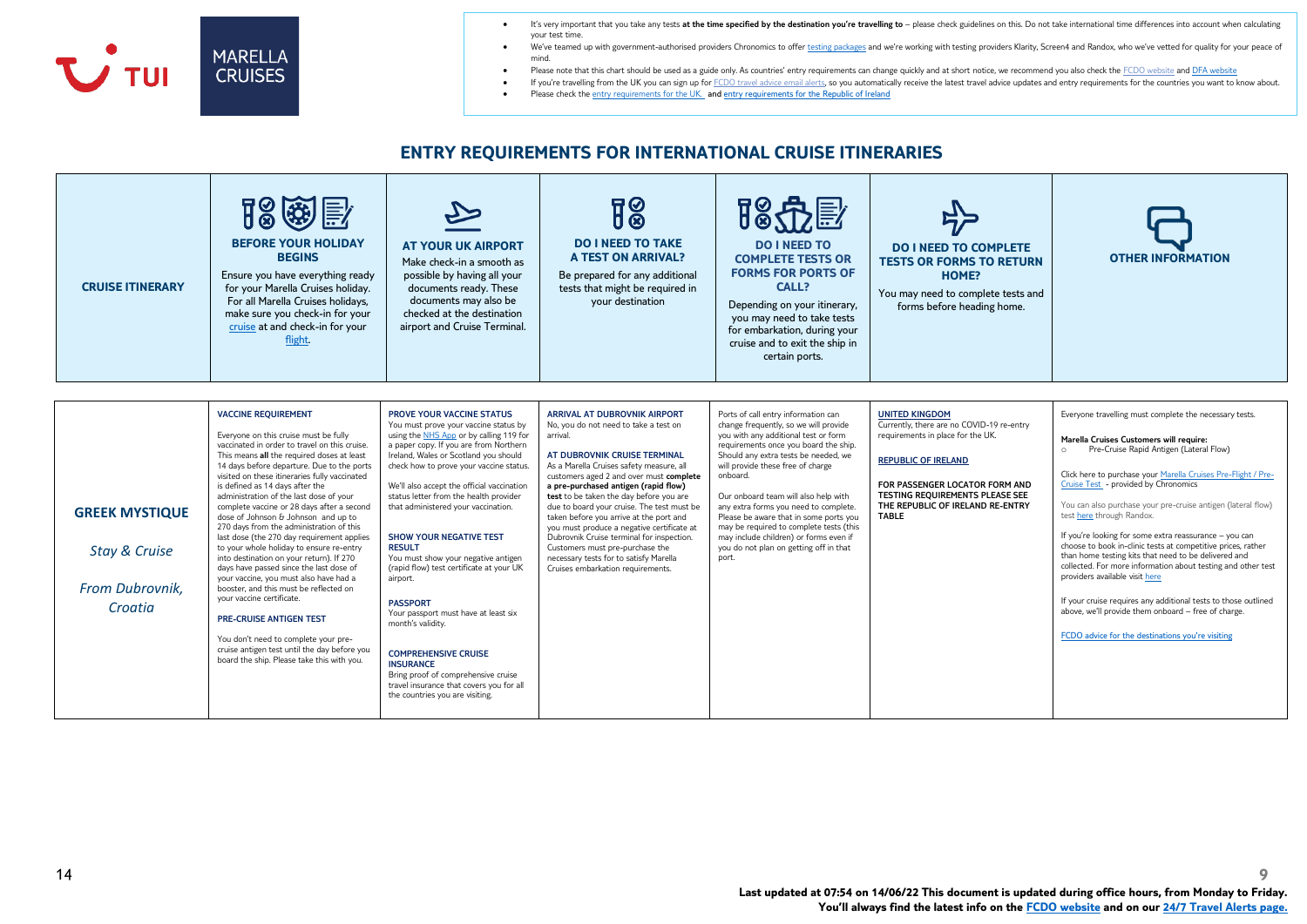

- It's very important that you take any tests **at the time specified by the destination you're travelling to** please check guidelines on this. Do not take international time differences into account when calculating your test time.
- We've teamed up with government-authorised providers Chronomics to offe[r testing packages](https://www.tui.co.uk/destinations/info/covid19-testing) and we're working with testing providers Klarity, Screen4 and Randox, who we've vetted for quality for your peace of mind.
- Please note that this chart should be used as a guide only. As countries' entry requirements can change quickly and at short notice, we recommend you also check th[e FCDO website](https://www.gov.uk/foreign-travel-advice) an[d DFA website](https://www.dfa.ie/)
	- If you're travelling from the UK you can sign up fo[r FCDO travel advice email alerts,](https://eur02.safelinks.protection.outlook.com/?url=https%3A%2F%2Fwww.gov.uk%2Fforeign-travel-advice&data=04%7C01%7CBen.Staff%40tui.co.uk%7Cebcfe79630f04b3a1e4308d8ea073f82%7Ce3e1f65bb973440db61cbc895fc98e28%7C0%7C0%7C637516664139086337%7CUnknown%7CTWFpbGZsb3d8eyJWIjoiMC4wLjAwMDAiLCJQIjoiV2luMzIiLCJBTiI6Ik1haWwiLCJXVCI6Mn0%3D%7C1000&sdata=C0oMsoSNsKs7mZqXeqV4zERR%2FlvTC%2B6MFIqGvVXnj8g%3D&reserved=0) so you automatically receive the latest travel advice updates and entry requirements for the countries you want to know about.
	- Please check th[e entry requirements for the UK.](https://www.tui.co.uk/destinations/info/cruise-entry-requirements) and [entry requirements for the Republic of Ireland](https://www.tuiholidays.ie/f/destinations/info/entry-requirements)

| <b>CRUISE ITINERARY</b>                                                         | 18晚<br><b>BEFORE YOUR HOLIDAY</b><br><b>BEGINS</b><br>Ensure you have everything ready<br>for your Marella Cruises holiday.<br>For all Marella Cruises holidays,<br>make sure you check-in for your<br>cruise at and check-in for your<br>flight.                                                                                                                                                                                                                                                                                                                                                                                                                                                                                                                                                                                                                                                                                                          | <b>AT YOUR UK AIRPORT</b><br>Make check-in a smooth as<br>possible by having all your<br>documents ready. These<br>documents may also be<br>checked at the destination<br>airport and Cruise Terminal.                                                                                                                                                                                                                                                                                                                                                                                                                                                                                                                                                                                       | 18<br><b>DO I NEED TO TAKE</b><br><b>A TEST ON ARRIVAL?</b><br>Be prepared for any additional<br>tests that might be required in<br>your destination                                                                                                                                                                                                                                                                                                                                                                                                                                                     | <b>DO I NEED TO</b><br><b>COMPLETE TESTS OR</b><br><b>FORMS FOR PORTS OF</b><br>CALL?<br>Depending on your itinerary,<br>you may need to take tests<br>for embarkation, during your<br>cruise and to exit the ship in<br>certain ports.                                                                                                                                                                                                                                                                                   | <b>DO I NEED TO COMPLETE</b><br><b>TESTS OR FORMS TO RETURN</b><br>HOME?<br>You may need to complete tests and<br>forms before heading home.                                                                                                                   | <b>OTHER INFORMATION</b>                                                                                                                                                                                                                                                                                                                                                                                                                                                                                                                                                                                                                                                                                                                                                                                                       |
|---------------------------------------------------------------------------------|------------------------------------------------------------------------------------------------------------------------------------------------------------------------------------------------------------------------------------------------------------------------------------------------------------------------------------------------------------------------------------------------------------------------------------------------------------------------------------------------------------------------------------------------------------------------------------------------------------------------------------------------------------------------------------------------------------------------------------------------------------------------------------------------------------------------------------------------------------------------------------------------------------------------------------------------------------|----------------------------------------------------------------------------------------------------------------------------------------------------------------------------------------------------------------------------------------------------------------------------------------------------------------------------------------------------------------------------------------------------------------------------------------------------------------------------------------------------------------------------------------------------------------------------------------------------------------------------------------------------------------------------------------------------------------------------------------------------------------------------------------------|----------------------------------------------------------------------------------------------------------------------------------------------------------------------------------------------------------------------------------------------------------------------------------------------------------------------------------------------------------------------------------------------------------------------------------------------------------------------------------------------------------------------------------------------------------------------------------------------------------|---------------------------------------------------------------------------------------------------------------------------------------------------------------------------------------------------------------------------------------------------------------------------------------------------------------------------------------------------------------------------------------------------------------------------------------------------------------------------------------------------------------------------|----------------------------------------------------------------------------------------------------------------------------------------------------------------------------------------------------------------------------------------------------------------|--------------------------------------------------------------------------------------------------------------------------------------------------------------------------------------------------------------------------------------------------------------------------------------------------------------------------------------------------------------------------------------------------------------------------------------------------------------------------------------------------------------------------------------------------------------------------------------------------------------------------------------------------------------------------------------------------------------------------------------------------------------------------------------------------------------------------------|
| <b>GREEK MYSTIQUE</b><br><b>Stay &amp; Cruise</b><br>From Dubrovnik.<br>Croatia | <b>VACCINE REQUIREMENT</b><br>Everyone on this cruise must be fully<br>vaccinated in order to travel on this cruise.<br>This means all the required doses at least<br>14 days before departure. Due to the ports<br>visited on these itineraries fully vaccinated<br>is defined as 14 days after the<br>administration of the last dose of your<br>complete vaccine or 28 days after a second<br>dose of Johnson & Johnson and up to<br>270 days from the administration of this<br>last dose (the 270 day requirement applies<br>to your whole holiday to ensure re-entry<br>into destination on your return). If 270<br>days have passed since the last dose of<br>your vaccine, you must also have had a<br>booster, and this must be reflected on<br>your vaccine certificate.<br><b>PRE-CRUISE ANTIGEN TEST</b><br>You don't need to complete your pre-<br>cruise antigen test until the day before you<br>board the ship. Please take this with you. | <b>PROVE YOUR VACCINE STATUS</b><br>You must prove your vaccine status by<br>using the NHS App or by calling 119 for<br>a paper copy. If you are from Northern<br>Ireland, Wales or Scotland vou should<br>check how to prove your vaccine status.<br>We'll also accept the official vaccination<br>status letter from the health provider<br>that administered your vaccination.<br><b>SHOW YOUR NEGATIVE TEST</b><br><b>RESULT</b><br>You must show your negative antigen<br>(rapid flow) test certificate at your UK<br>airport.<br><b>PASSPORT</b><br>Your passport must have at least six<br>month's validity.<br><b>COMPREHENSIVE CRUISE</b><br><b>INSURANCE</b><br>Bring proof of comprehensive cruise<br>travel insurance that covers you for all<br>the countries you are visiting. | <b>ARRIVAL AT DUBROVNIK AIRPORT</b><br>No, you do not need to take a test on<br>arrival.<br>AT DUBROVNIK CRUISE TERMINAL<br>As a Marella Cruises safety measure, all<br>customers aged 2 and over must complete<br>a pre-purchased antigen (rapid flow)<br>test to be taken the day before you are<br>due to board your cruise. The test must be<br>taken before you arrive at the port and<br>you must produce a negative certificate at<br>Dubrovnik Cruise terminal for inspection.<br>Customers must pre-purchase the<br>necessary tests for to satisfy Marella<br>Cruises embarkation requirements. | Ports of call entry information can<br>change frequently, so we will provide<br>you with any additional test or form<br>requirements once you board the ship.<br>Should any extra tests be needed, we<br>will provide these free of charge<br>onboard.<br>Our onboard team will also help with<br>any extra forms you need to complete.<br>Please be aware that in some ports you<br>may be required to complete tests (this<br>may include children) or forms even if<br>you do not plan on getting off in that<br>port. | <b>UNITED KINGDOM</b><br>Currently, there are no COVID-19 re-entry<br>requirements in place for the UK.<br><b>REPUBLIC OF IRELAND</b><br>FOR PASSENGER LOCATOR FORM AND<br>TESTING REQUIREMENTS PLEASE SEE<br>THE REPUBLIC OF IRELAND RE-ENTRY<br><b>TABLE</b> | Everyone travelling must complete the necessary tests.<br>Marella Cruises Customers will require:<br>Pre-Cruise Rapid Antigen (Lateral Flow)<br>$\circ$<br>Click here to purchase your Marella Cruises Pre-Flight / Pre-<br>Cruise Test - provided by Chronomics<br>You can also purchase your pre-cruise antigen (lateral flow)<br>test here through Randox.<br>If you're looking for some extra reassurance - you can<br>choose to book in-clinic tests at competitive prices, rather<br>than home testing kits that need to be delivered and<br>collected. For more information about testing and other test<br>providers available visit here<br>If your cruise requires any additional tests to those outlined<br>above, we'll provide them onboard - free of charge.<br>FCDO advice for the destinations you're visiting |